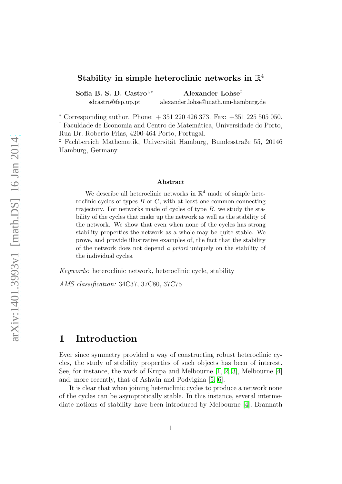## Stability in simple heteroclinic networks in  $\mathbb{R}^4$

Sofia B. S. D. Castro<sup>†,∗</sup> Alexander Lohse<sup>‡</sup> sdcastro@fep.up.pt alexander.lohse@math.uni-hamburg.de

 $*$  Corresponding author. Phone:  $+351220426373$ . Fax:  $+351225505050$ . <sup>†</sup> Faculdade de Economia and Centro de Matemática, Universidade do Porto, Rua Dr. Roberto Frias, 4200-464 Porto, Portugal.

<sup>‡</sup> Fachbereich Mathematik, Universität Hamburg, Bundesstraße 55, 20146 Hamburg, Germany.

#### Abstract

We describe all heteroclinic networks in  $\mathbb{R}^4$  made of simple heteroclinic cycles of types  $B$  or  $C$ , with at least one common connecting trajectory. For networks made of cycles of type  $B$ , we study the stability of the cycles that make up the network as well as the stability of the network. We show that even when none of the cycles has strong stability properties the network as a whole may be quite stable. We prove, and provide illustrative examples of, the fact that the stability of the network does not depend a priori uniquely on the stability of the individual cycles.

Keywords: heteroclinic network, heteroclinic cycle, stability

AMS classification: 34C37, 37C80, 37C75

## 1 Introduction

Ever since symmetry provided a way of constructing robust heteroclinic cycles, the study of stability properties of such objects has been of interest. See, for instance, the work of Krupa and Melbourne  $[1, 2, 3]$  $[1, 2, 3]$  $[1, 2, 3]$ , Melbourne  $[4]$ and, more recently, that of Ashwin and Podvigina [\[5,](#page-36-2) [6\]](#page-36-3).

It is clear that when joining heteroclinic cycles to produce a network none of the cycles can be asymptotically stable. In this instance, several intermediate notions of stability have been introduced by Melbourne [\[4\]](#page-36-1), Brannath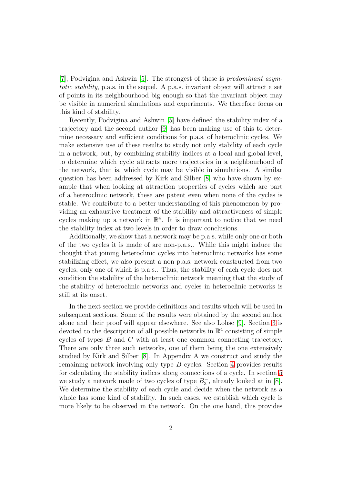[\[7\]](#page-36-4), Podvigina and Ashwin [\[5\]](#page-36-2). The strongest of these is predominant asymtotic stability, p.a.s. in the sequel. A p.a.s. invariant object will attract a set of points in its neighbourhood big enough so that the invariant object may be visible in numerical simulations and experiments. We therefore focus on this kind of stability.

Recently, Podvigina and Ashwin [\[5\]](#page-36-2) have defined the stability index of a trajectory and the second author [\[9\]](#page-36-5) has been making use of this to determine necessary and sufficient conditions for p.a.s. of heteroclinic cycles. We make extensive use of these results to study not only stability of each cycle in a network, but, by combining stability indices at a local and global level, to determine which cycle attracts more trajectories in a neighbourhood of the network, that is, which cycle may be visible in simulations. A similar question has been addressed by Kirk and Silber [\[8\]](#page-36-6) who have shown by example that when looking at attraction properties of cycles which are part of a heteroclinic network, these are patent even when none of the cycles is stable. We contribute to a better understanding of this phenomenon by providing an exhaustive treatment of the stability and attractiveness of simple cycles making up a network in  $\mathbb{R}^4$ . It is important to notice that we need the stability index at two levels in order to draw conclusions.

Additionally, we show that a network may be p.a.s. while only one or both of the two cycles it is made of are non-p.a.s.. While this might induce the thought that joining heteroclinic cycles into heteroclinic networks has some stabilizing effect, we also present a non-p.a.s. network constructed from two cycles, only one of which is p.a.s.. Thus, the stability of each cycle does not condition the stability of the heteroclinic network meaning that the study of the stability of heteroclinic networks and cycles in heteroclinic networks is still at its onset.

In the next section we provide definitions and results which will be used in subsequent sections. Some of the results were obtained by the second author alone and their proof will appear elsewhere. See also Lohse [\[9\]](#page-36-5). Section [3](#page-7-0) is devoted to the description of all possible networks in  $\mathbb{R}^4$  consisting of simple cycles of types B and C with at least one common connecting trajectory. There are only three such networks, one of them being the one extensively studied by Kirk and Silber [\[8\]](#page-36-6). In Appendix A we construct and study the remaining network involving only type B cycles. Section [4](#page-10-0) provides results for calculating the stability indices along connections of a cycle. In section [5](#page-13-0) we study a network made of two cycles of type  $B_3^ \overline{3}$ , already looked at in [\[8\]](#page-36-6). We determine the stability of each cycle and decide when the network as a whole has some kind of stability. In such cases, we establish which cycle is more likely to be observed in the network. On the one hand, this provides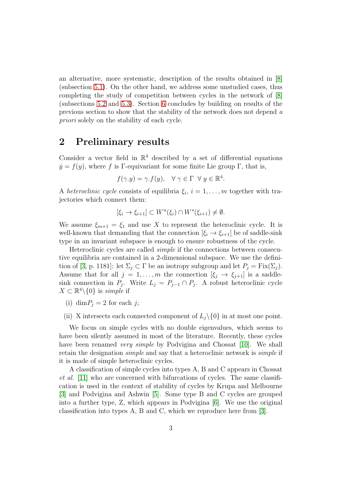an alternative, more systematic, description of the results obtained in [\[8\]](#page-36-6) (subsection [5.1\)](#page-14-0). On the other hand, we address some unstudied cases, thus completing the study of competition between cycles in the network of [\[8\]](#page-36-6) (subsections [5.2](#page-19-0) and [5.3\)](#page-24-0). Section [6](#page-28-0) concludes by building on results of the previous section to show that the stability of the network does not depend a priori solely on the stability of each cycle.

### 2 Preliminary results

Consider a vector field in  $\mathbb{R}^4$  described by a set of differential equations  $\dot{y} = f(y)$ , where f is Γ-equivariant for some finite Lie group Γ, that is,

$$
f(\gamma.y) = \gamma.f(y), \quad \forall \ \gamma \in \Gamma \ \forall \ y \in \mathbb{R}^4.
$$

A heteroclinic cycle consists of equilibria  $\xi_i$ ,  $i = 1, \ldots, m$  together with trajectories which connect them:

$$
[\xi_i \to \xi_{i+1}] \subset W^u(\xi_i) \cap W^s(\xi_{i+1}) \neq \emptyset.
$$

We assume  $\xi_{m+1} = \xi_1$  and use X to represent the heteroclinic cycle. It is well-known that demanding that the connection  $[\xi_i \rightarrow \xi_{i+1}]$  be of saddle-sink type in an invariant subspace is enough to ensure robustness of the cycle.

Heteroclinic cycles are called simple if the connections between consecutive equilibria are contained in a 2-dimensional subspace. We use the defini-tion of [\[3,](#page-36-0) p. 1181]: let  $\Sigma_j \subset \Gamma$  be an isotropy subgroup and let  $P_j = Fix(\Sigma_j)$ . Assume that for all  $j = 1, ..., m$  the connection  $[\xi_j \to \xi_{j+1}]$  is a saddlesink connection in  $P_j$ . Write  $L_j = P_{j-1} \cap P_j$ . A robust heteroclinic cycle  $X \subset \mathbb{R}^4 \backslash \{0\}$  is simple if

- (i) dim $P_i = 2$  for each j;
- (ii) X intersects each connected component of  $L_j\setminus\{0\}$  in at most one point.

We focus on simple cycles with no double eigenvalues, which seems to have been silently assumed in most of the literature. Recently, these cycles have been renamed *very simple* by Podvigina and Chossat [\[10\]](#page-36-7). We shall retain the designation simple and say that a heteroclinic network is simple if it is made of simple heteroclinic cycles.

A classification of simple cycles into types A, B and C appears in Chossat et al. [\[11\]](#page-36-8) who are concerned with bifurcations of cycles. The same classification is used in the context of stability of cycles by Krupa and Melbourne [\[3\]](#page-36-0) and Podvigina and Ashwin [\[5\]](#page-36-2). Some type B and C cycles are grouped into a further type, Z, which appears in Podvigina [\[6\]](#page-36-3). We use the original classification into types A, B and C, which we reproduce here from [\[3\]](#page-36-0).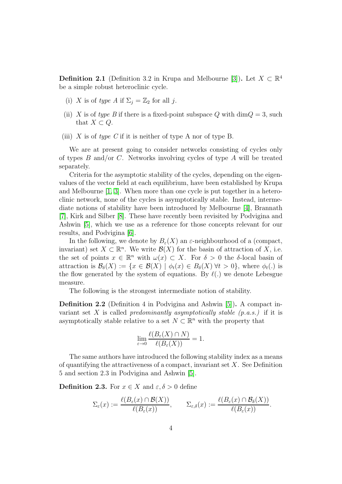**Definition 2.1** (Definition 3.2 in Krupa and Melbourne [\[3\]](#page-36-0)). Let  $X \subset \mathbb{R}^4$ be a simple robust heteroclinic cycle.

- (i) X is of type A if  $\Sigma_i = \mathbb{Z}_2$  for all j.
- (ii) X is of type B if there is a fixed-point subspace Q with dim $Q = 3$ , such that  $X \subset Q$ .
- (iii) X is of type C if it is neither of type A nor of type B.

We are at present going to consider networks consisting of cycles only of types  $B$  and/or  $C$ . Networks involving cycles of type  $A$  will be treated separately.

Criteria for the asymptotic stability of the cycles, depending on the eigenvalues of the vector field at each equilibrium, have been established by Krupa and Melbourne [\[1,](#page-35-0) [3\]](#page-36-0). When more than one cycle is put together in a heteroclinic network, none of the cycles is asymptotically stable. Instead, intermediate notions of stability have been introduced by Melbourne [\[4\]](#page-36-1), Brannath [\[7\]](#page-36-4), Kirk and Silber [\[8\]](#page-36-6). These have recently been revisited by Podvigina and Ashwin [\[5\]](#page-36-2), which we use as a reference for those concepts relevant for our results, and Podvigina [\[6\]](#page-36-3).

In the following, we denote by  $B_{\varepsilon}(X)$  an  $\varepsilon$ -neighbourhood of a (compact, invariant) set  $X \subset \mathbb{R}^n$ . We write  $\mathcal{B}(X)$  for the basin of attraction of X, i.e. the set of points  $x \in \mathbb{R}^n$  with  $\omega(x) \subset X$ . For  $\delta > 0$  the  $\delta$ -local basin of attraction is  $\mathcal{B}_{\delta}(X) := \{x \in \mathcal{B}(X) \mid \phi_t(x) \in B_{\delta}(X) \forall t > 0\}$ , where  $\phi_t(.)$  is the flow generated by the system of equations. By  $\ell(.)$  we denote Lebesgue measure.

The following is the strongest intermediate notion of stability.

Definition 2.2 (Definition 4 in Podvigina and Ashwin [\[5\]](#page-36-2)). A compact invariant set X is called *predominantly asymptotically stable*  $(p.a.s.)$  if it is asymptotically stable relative to a set  $N \subset \mathbb{R}^n$  with the property that

$$
\lim_{\varepsilon \to 0} \frac{\ell(B_{\varepsilon}(X) \cap N)}{\ell(B_{\varepsilon}(X))} = 1.
$$

The same authors have introduced the following stability index as a means of quantifying the attractiveness of a compact, invariant set  $X$ . See Definition 5 and section 2.3 in Podvigina and Ashwin [\[5\]](#page-36-2).

**Definition 2.3.** For  $x \in X$  and  $\varepsilon, \delta > 0$  define

$$
\Sigma_{\varepsilon}(x) := \frac{\ell(B_{\varepsilon}(x) \cap \mathcal{B}(X))}{\ell(B_{\varepsilon}(x))}, \qquad \Sigma_{\varepsilon,\delta}(x) := \frac{\ell(B_{\varepsilon}(x) \cap \mathcal{B}_{\delta}(X))}{\ell(B_{\varepsilon}(x))}.
$$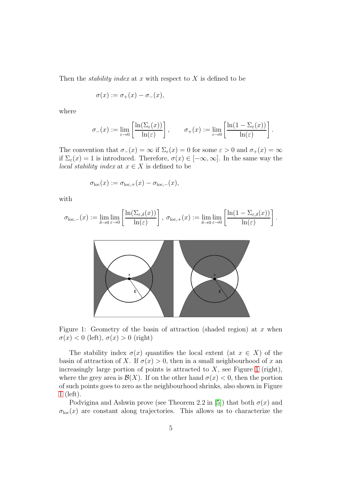Then the *stability index* at x with respect to  $X$  is defined to be

$$
\sigma(x) := \sigma_+(x) - \sigma_-(x),
$$

where

$$
\sigma_{-}(x) := \lim_{\varepsilon \to 0} \left[ \frac{\ln(\Sigma_{\varepsilon}(x))}{\ln(\varepsilon)} \right], \qquad \sigma_{+}(x) := \lim_{\varepsilon \to 0} \left[ \frac{\ln(1 - \Sigma_{\varepsilon}(x))}{\ln(\varepsilon)} \right].
$$

The convention that  $\sigma_-(x) = \infty$  if  $\Sigma_\varepsilon(x) = 0$  for some  $\varepsilon > 0$  and  $\sigma_+(x) = \infty$ if  $\Sigma_{\varepsilon}(x) = 1$  is introduced. Therefore,  $\sigma(x) \in [-\infty, \infty]$ . In the same way the *local stability index* at  $x \in X$  is defined to be

$$
\sigma_{\rm loc}(x) := \sigma_{\rm loc,+}(x) - \sigma_{\rm loc,-}(x),
$$

with

$$
\sigma_{\text{loc},-}(x):=\lim_{\delta\to 0}\lim_{\varepsilon\to 0}\left[\frac{\ln(\Sigma_{\varepsilon,\delta}(x))}{\ln(\varepsilon)}\right],\ \sigma_{\text{loc},+}(x):=\lim_{\delta\to 0}\lim_{\varepsilon\to 0}\left[\frac{\ln(1-\Sigma_{\varepsilon,\delta}(x))}{\ln(\varepsilon)}\right].
$$



Figure 1: Geometry of the basin of attraction (shaded region) at  $x$  when  $\sigma(x) < 0$  (left),  $\sigma(x) > 0$  (right)

<span id="page-4-0"></span>The stability index  $\sigma(x)$  quantifies the local extent (at  $x \in X$ ) of the basin of attraction of X. If  $\sigma(x) > 0$ , then in a small neighbourhood of x an increasingly large portion of points is attracted to  $X$ , see Figure [1](#page-4-0) (right), where the grey area is  $\mathcal{B}(X)$ . If on the other hand  $\sigma(x) < 0$ , then the portion of such points goes to zero as the neighbourhood shrinks, also shown in Figure [1](#page-4-0) (left).

Podvigina and Ashwin prove (see Theorem 2.2 in [\[5\]](#page-36-2)) that both  $\sigma(x)$  and  $\sigma_{\text{loc}}(x)$  are constant along trajectories. This allows us to characterize the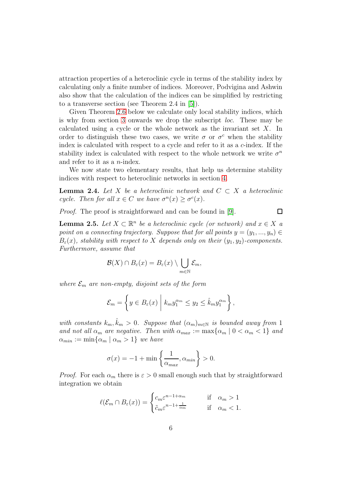attraction properties of a heteroclinic cycle in terms of the stability index by calculating only a finite number of indices. Moreover, Podvigina and Ashwin also show that the calculation of the indices can be simplified by restricting to a transverse section (see Theorem 2.4 in [\[5\]](#page-36-2)).

Given Theorem [2.6](#page-6-0) below we calculate only local stability indices, which is why from section [3](#page-7-0) onwards we drop the subscript loc. These may be calculated using a cycle or the whole network as the invariant set  $X$ . In order to distinguish these two cases, we write  $\sigma$  or  $\sigma^c$  when the stability index is calculated with respect to a cycle and refer to it as a c-index. If the stability index is calculated with respect to the whole network we write  $\sigma^n$ and refer to it as a  $n$ -index.

We now state two elementary results, that help us determine stability indices with respect to heteroclinic networks in section [4.](#page-10-0)

<span id="page-5-0"></span>**Lemma 2.4.** Let X be a heteroclinic network and  $C \subset X$  a heteroclinic cycle. Then for all  $x \in C$  we have  $\sigma^n(x) \geq \sigma^c(x)$ .

Proof. The proof is straightforward and can be found in [\[9\]](#page-36-5).

 $\Box$ 

<span id="page-5-1"></span>**Lemma 2.5.** Let  $X \subset \mathbb{R}^n$  be a heteroclinic cycle (or network) and  $x \in X$  a point on a connecting trajectory. Suppose that for all points  $y = (y_1, ..., y_n) \in$  $B_{\varepsilon}(x)$ , stability with respect to X depends only on their  $(y_1, y_2)$ -components. Furthermore, assume that

$$
\mathcal{B}(X) \cap B_{\varepsilon}(x) = B_{\varepsilon}(x) \setminus \bigcup_{m \in \mathbb{N}} \mathcal{E}_m,
$$

where  $\mathcal{E}_m$  are non-empty, disjoint sets of the form

$$
\mathcal{E}_m = \left\{ y \in B_{\varepsilon}(x) \middle| k_m y_1^{\alpha_m} \leq y_2 \leq \hat{k}_m y_1^{\alpha_m} \right\},\,
$$

with constants  $k_m, \hat{k}_m > 0$ . Suppose that  $(\alpha_m)_{m \in \mathbb{N}}$  is bounded away from 1 and not all  $\alpha_m$  are negative. Then with  $\alpha_{max} := \max{\{\alpha_m \mid 0 < \alpha_m < 1\}}$  and  $\alpha_{min} := \min\{\alpha_m \mid \alpha_m > 1\}$  we have

$$
\sigma(x) = -1 + \min\left\{\frac{1}{\alpha_{max}}, \alpha_{min}\right\} > 0.
$$

*Proof.* For each  $\alpha_m$  there is  $\varepsilon > 0$  small enough such that by straightforward integration we obtain

$$
\ell(\mathcal{E}_m \cap B_{\varepsilon}(x)) = \begin{cases} c_m \varepsilon^{n-1+\alpha_m} & \text{if } \alpha_m > 1\\ \tilde{c}_m \varepsilon^{n-1+\frac{1}{\alpha_m}} & \text{if } \alpha_m < 1. \end{cases}
$$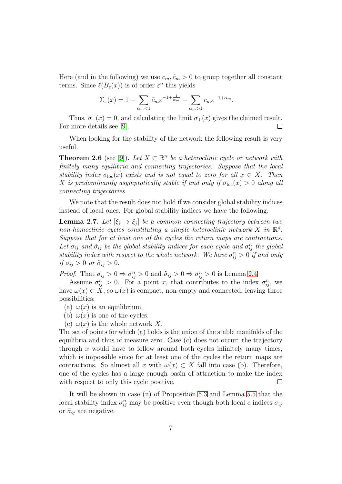Here (and in the following) we use  $c_m$ ,  $\tilde{c}_m > 0$  to group together all constant terms. Since  $\ell(B_{\varepsilon}(x))$  is of order  $\varepsilon^{n}$  this yields

$$
\Sigma_{\varepsilon}(x) = 1 - \sum_{\alpha_m < 1} \tilde{c}_m \varepsilon^{-1 + \frac{1}{\alpha_m}} - \sum_{\alpha_m > 1} c_m \varepsilon^{-1 + \alpha_m}.
$$

Thus,  $\sigma_-(x) = 0$ , and calculating the limit  $\sigma_+(x)$  gives the claimed result. For more details see [\[9\]](#page-36-5).  $\Box$ 

When looking for the stability of the network the following result is very useful.

<span id="page-6-0"></span>**Theorem 2.6** (see [\[9\]](#page-36-5)). Let  $X \subset \mathbb{R}^n$  be a heteroclinic cycle or network with finitely many equilibria and connecting trajectories. Suppose that the local stability index  $\sigma_{\text{loc}}(x)$  exists and is not equal to zero for all  $x \in X$ . Then X is predominantly asymptotically stable if and only if  $\sigma_{loc}(x) > 0$  along all connecting trajectories.

We note that the result does not hold if we consider global stability indices instead of local ones. For global stability indices we have the following:

**Lemma 2.7.** Let  $[\xi_i \to \xi_j]$  be a common connecting trajectory between two non-homoclinic cycles constituting a simple heteroclinic network  $X$  in  $\mathbb{R}^4$ . Suppose that for at least one of the cycles the return maps are contractions. Let  $\sigma_{ij}$  and  $\tilde{\sigma}_{ij}$  be the global stability indices for each cycle and  $\sigma_{ij}^n$  the global stability index with respect to the whole network. We have  $\sigma_{ij}^n > 0$  if and only if  $\sigma_{ij} > 0$  or  $\tilde{\sigma}_{ij} > 0$ .

*Proof.* That  $\sigma_{ij} > 0 \Rightarrow \sigma_{ij}^n > 0$  and  $\tilde{\sigma}_{ij} > 0 \Rightarrow \sigma_{ij}^n > 0$  is Lemma [2.4.](#page-5-0)

Assume  $\sigma_{ij}^n > 0$ . For a point x, that contributes to the index  $\sigma_{ij}^n$ , we have  $\omega(x) \subset X$ , so  $\omega(x)$  is compact, non-empty and connected, leaving three possibilities:

- (a)  $\omega(x)$  is an equilibrium.
- (b)  $\omega(x)$  is one of the cycles.
- (c)  $\omega(x)$  is the whole network X.

The set of points for which (a) holds is the union of the stable manifolds of the equilibria and thus of measure zero. Case (c) does not occur: the trajectory through x would have to follow around both cycles infinitely many times, which is impossible since for at least one of the cycles the return maps are contractions. So almost all x with  $\omega(x) \subset X$  fall into case (b). Therefore, one of the cycles has a large enough basin of attraction to make the index with respect to only this cycle positive.  $\Box$ 

It will be shown in case (ii) of Proposition [5.3](#page-16-0) and Lemma [5.5](#page-19-1) that the local stability index  $\sigma_{ij}^n$  may be positive even though both local c-indices  $\sigma_{ij}$ or  $\tilde{\sigma}_{ij}$  are negative.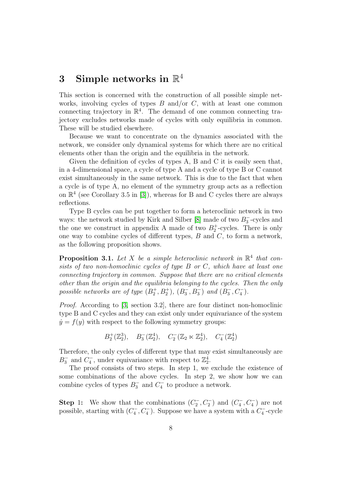# <span id="page-7-0"></span> $3$  Simple networks in  $\mathbb{R}^4$

This section is concerned with the construction of all possible simple networks, involving cycles of types  $B$  and/or  $C$ , with at least one common connecting trajectory in  $\mathbb{R}^4$ . The demand of one common connecting trajectory excludes networks made of cycles with only equilibria in common. These will be studied elsewhere.

Because we want to concentrate on the dynamics associated with the network, we consider only dynamical systems for which there are no critical elements other than the origin and the equilibria in the network.

Given the definition of cycles of types A, B and C it is easily seen that, in a 4-dimensional space, a cycle of type A and a cycle of type B or C cannot exist simultaneously in the same network. This is due to the fact that when a cycle is of type A, no element of the symmetry group acts as a reflection on  $\mathbb{R}^4$  (see Corollary 3.5 in [\[3\]](#page-36-0)), whereas for B and C cycles there are always reflections.

Type B cycles can be put together to form a heteroclinic network in two ways: the network studied by Kirk and Silber [\[8\]](#page-36-6) made of two  $B_3^-$ 3 -cycles and the one we construct in appendix A made of two  $B_2^+$ -cycles. There is only one way to combine cycles of different types,  $B$  and  $C$ , to form a network, as the following proposition shows.

**Proposition 3.1.** Let X be a simple heteroclinic network in  $\mathbb{R}^4$  that consists of two non-homoclinic cycles of type B or C, which have at least one connecting trajectory in common. Suppose that there are no critical elements other than the origin and the equilibria belonging to the cycles. Then the only possible networks are of type  $(B_2^+, B_2^+), (B_3^-)$  $\binom{1}{3}, B_3^-$  and  $(B_3^-)$  $\frac{1}{3}, C_4^-\$ .

Proof. According to [\[3,](#page-36-0) section 3.2], there are four distinct non-homoclinic type B and C cycles and they can exist only under equivariance of the system  $\dot{y} = f(y)$  with respect to the following symmetry groups:

 $B_2^+(\mathbb{Z}_2^3)$ ,  $B_3^-(\mathbb{Z}_2^4)$ ,  $C_2^-(\mathbb{Z}_2 \ltimes \mathbb{Z}_2^4)$ ,  $C_4^-(\mathbb{Z}_2^4)$ 

Therefore, the only cycles of different type that may exist simultaneously are  $B_3^-$  and  $C_4^ \mathbb{Z}_4^{\mathbb{Z}}$ , under equivariance with respect to  $\mathbb{Z}_2^4$ .

The proof consists of two steps. In step 1, we exclude the existence of some combinations of the above cycles. In step 2, we show how we can combine cycles of types  $B_3^-$  and  $C_4^ \frac{1}{4}$  to produce a network.

**Step 1:** We show that the combinations  $(C_2^-, C_2^-)$  and  $(C_4^-, C_4^-)$  are not possible, starting with  $(C_4^-)$  $\binom{1}{4}$ ,  $C_4^-$ ). Suppose we have a system with a  $C_4^ \frac{1}{4}$ -cycle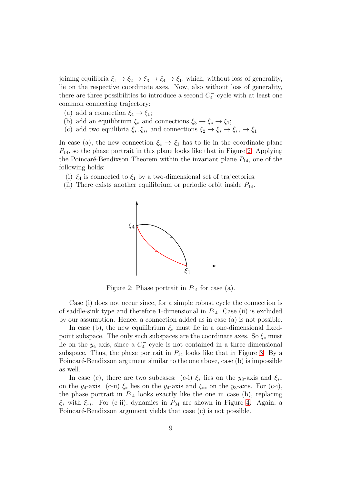joining equilibria  $\xi_1 \to \xi_2 \to \xi_3 \to \xi_4 \to \xi_1$ , which, without loss of generality, lie on the respective coordinate axes. Now, also without loss of generality, there are three possibilities to introduce a second  $C_4^-$ 4 -cycle with at least one common connecting trajectory:

- (a) add a connection  $\xi_4 \rightarrow \xi_1$ ;
- (b) add an equilibrium  $\xi_*$  and connections  $\xi_3 \to \xi_* \to \xi_1$ ;
- (c) add two equilibria  $\xi_*, \xi_{**}$  and connections  $\xi_2 \to \xi_* \to \xi_{**} \to \xi_1$ .

In case (a), the new connection  $\xi_4 \rightarrow \xi_1$  has to lie in the coordinate plane  $P_{14}$ , so the phase portrait in this plane looks like that in Figure [2.](#page-8-0) Applying the Poincaré-Bendixson Theorem within the invariant plane  $P_{14}$ , one of the following holds:

- (i)  $\xi_4$  is connected to  $\xi_1$  by a two-dimensional set of trajectories.
- (ii) There exists another equilibrium or periodic orbit inside  $P_{14}$ .



<span id="page-8-0"></span>Figure 2: Phase portrait in  $P_{14}$  for case (a).

Case (i) does not occur since, for a simple robust cycle the connection is of saddle-sink type and therefore 1-dimensional in  $P_{14}$ . Case (ii) is excluded by our assumption. Hence, a connection added as in case (a) is not possible.

In case (b), the new equilibrium  $\xi_*$  must lie in a one-dimensional fixedpoint subspace. The only such subspaces are the coordinate axes. So  $\xi_*$  must lie on the  $y_4$ -axis, since a  $C_4^-$ -cycle is not contained in a three-dimensional subspace. Thus, the phase portrait in  $P_{14}$  looks like that in Figure [3.](#page-9-0) By a Poincaré-Bendixson argument similar to the one above, case (b) is impossible as well.

In case (c), there are two subcases: (c-i)  $\xi_*$  lies on the y<sub>3</sub>-axis and  $\xi_{**}$ on the  $y_4$ -axis. (c-ii)  $\xi_*$  lies on the  $y_4$ -axis and  $\xi_{**}$  on the  $y_3$ -axis. For (c-i), the phase portrait in  $P_{14}$  looks exactly like the one in case (b), replacing  $\xi_*$  with  $\xi_{**}$ . For (c-ii), dynamics in  $P_{34}$  are shown in Figure [4.](#page-9-1) Again, a Poincaré-Bendixson argument yields that case (c) is not possible.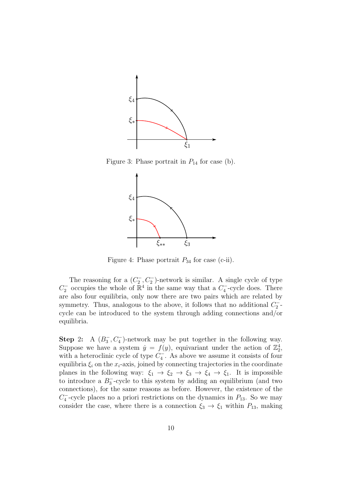

Figure 3: Phase portrait in  $P_{14}$  for case (b).

<span id="page-9-0"></span>

<span id="page-9-1"></span>Figure 4: Phase portrait  $P_{34}$  for case (c-ii).

The reasoning for a  $(C_2^-)$  $\binom{1}{2}$ ,  $C_2^-$ )-network is similar. A single cycle of type  $C_2^-$  occupies the whole of  $\mathbb{R}^4$  in the same way that a  $C_4^-$ 4 -cycle does. There are also four equilibria, only now there are two pairs which are related by symmetry. Thus, analogous to the above, it follows that no additional  $C_2^ \frac{1}{2}$  cycle can be introduced to the system through adding connections and/or equilibria.

Step 2: A  $(B_3^-, C_4^-)$ -network may be put together in the following way. Suppose we have a system  $\dot{y} = f(y)$ , equivariant under the action of  $\mathbb{Z}_2^4$ , with a heteroclinic cycle of type  $C_4^-$ 4 . As above we assume it consists of four equilibria  $\xi_i$  on the  $x_i$ -axis, joined by connecting trajectories in the coordinate planes in the following way:  $\xi_1 \to \xi_2 \to \xi_3 \to \xi_4 \to \xi_1$ . It is impossible to introduce a  $B_3^-$ -cycle to this system by adding an equilibrium (and two connections), for the same reasons as before. However, the existence of the  $C_4^ \frac{1}{4}$ -cycle places no a priori restrictions on the dynamics in  $P_{13}$ . So we may consider the case, where there is a connection  $\xi_3 \to \xi_1$  within  $P_{13}$ , making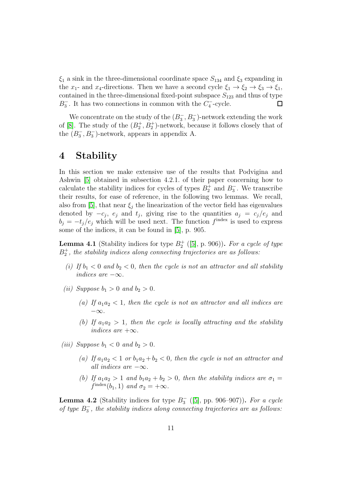$\xi_1$  a sink in the three-dimensional coordinate space  $S_{134}$  and  $\xi_3$  expanding in the  $x_1$ - and  $x_4$ -directions. Then we have a second cycle  $\xi_1 \to \xi_2 \to \xi_3 \to \xi_1$ , contained in the three-dimensional fixed-point subspace  $S_{123}$  and thus of type  $B_3^-$ . It has two connections in common with the  $C_4^-$ -cycle.  $\Box$ 

We concentrate on the study of the  $(B_3^-)$  $\overline{a_3}$ ,  $B_3^-$ )-network extending the work of [\[8\]](#page-36-6). The study of the  $(B_2^+, B_2^+)$ -network, because it follows closely that of the  $(B_3^-, B_3^-)$ -network, appears in appendix A.

### <span id="page-10-0"></span>4 Stability

In this section we make extensive use of the results that Podvigina and Ashwin [\[5\]](#page-36-2) obtained in subsection 4.2.1. of their paper concerning how to calculate the stability indices for cycles of types  $B_2^+$  and  $B_3^ \overline{3}$ . We transcribe their results, for ease of reference, in the following two lemmas. We recall, also from [\[5\]](#page-36-2), that near  $\xi_i$  the linearization of the vector field has eigenvalues denoted by  $-c_j$ ,  $e_j$  and  $t_j$ , giving rise to the quantities  $a_j = c_j/e_j$  and  $b_j = -t_j/e_j$  which will be used next. The function  $f<sup>index</sup>$  is used to express some of the indices, it can be found in [\[5\]](#page-36-2), p. 905.

<span id="page-10-2"></span>**Lemma 4.1** (Stability indices for type  $B_2^+$  ([\[5\]](#page-36-2), p. 906)). For a cycle of type  $B_2^+$ , the stability indices along connecting trajectories are as follows:

- (i) If  $b_1 < 0$  and  $b_2 < 0$ , then the cycle is not an attractor and all stability indices are  $-\infty$ .
- (ii) Suppose  $b_1 > 0$  and  $b_2 > 0$ .
	- (a) If  $a_1a_2 < 1$ , then the cycle is not an attractor and all indices are  $-\infty$ .
	- (b) If  $a_1a_2 > 1$ , then the cycle is locally attracting and the stability indices are  $+\infty$ .
- (iii) Suppose  $b_1 < 0$  and  $b_2 > 0$ .
	- (a) If  $a_1a_2 < 1$  or  $b_1a_2 + b_2 < 0$ , then the cycle is not an attractor and all indices are  $-\infty$ .
	- (b) If  $a_1a_2 > 1$  and  $b_1a_2 + b_2 > 0$ , then the stability indices are  $\sigma_1 =$  $f^{\text{index}}(b_1, 1)$  and  $\sigma_2 = +\infty$ .

<span id="page-10-1"></span>**Lemma 4.2** (Stability indices for type  $B_3^ _3^-$  ([\[5\]](#page-36-2), pp. 906–907)). For a cycle of type  $B_3^ _3^-$ , the stability indices along connecting trajectories are as follows: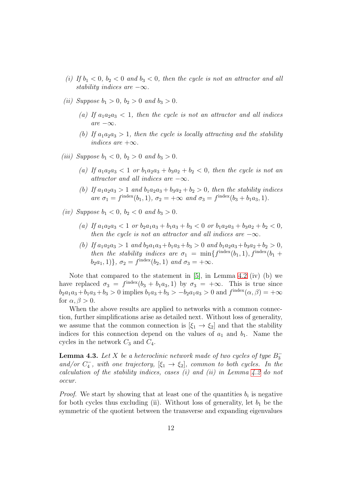- (i) If  $b_1 < 0$ ,  $b_2 < 0$  and  $b_3 < 0$ , then the cycle is not an attractor and all stability indices are  $-\infty$ .
- (*ii*) Suppose  $b_1 > 0$ ,  $b_2 > 0$  and  $b_3 > 0$ .
	- (a) If  $a_1a_2a_3 < 1$ , then the cycle is not an attractor and all indices  $are -\infty$ .
	- (b) If  $a_1a_2a_3 > 1$ , then the cycle is locally attracting and the stability indices are  $+\infty$ .
- (*iii*) Suppose  $b_1 < 0$ ,  $b_2 > 0$  and  $b_3 > 0$ .
	- (a) If  $a_1a_2a_3 < 1$  or  $b_1a_2a_3 + b_3a_2 + b_2 < 0$ , then the cycle is not an attractor and all indices are  $-\infty$ .
	- (b) If  $a_1a_2a_3 > 1$  and  $b_1a_2a_3 + b_3a_2 + b_2 > 0$ , then the stability indices are  $\sigma_1 = f^{\text{index}}(b_1, 1), \sigma_2 = +\infty$  and  $\sigma_3 = f^{\text{index}}(b_3 + b_1 a_3, 1).$
- (iv) Suppose  $b_1 < 0$ ,  $b_2 < 0$  and  $b_3 > 0$ .
	- (a) If  $a_1a_2a_3 < 1$  or  $b_2a_1a_3 + b_1a_3 + b_3 < 0$  or  $b_1a_2a_3 + b_3a_2 + b_2 < 0$ , then the cycle is not an attractor and all indices are  $-\infty$ .
	- (b) If  $a_1a_2a_3 > 1$  and  $b_2a_1a_3+b_1a_3+b_3 > 0$  and  $b_1a_2a_3+b_3a_2+b_2 > 0$ , then the stability indices are  $\sigma_1 = \min\{f^{\text{index}}(b_1, 1), f^{\text{index}}(b_1 +$  $(b_2a_1, 1)$ ,  $\sigma_2 = f^{\text{index}}(b_2, 1)$  and  $\sigma_3 = +\infty$ .

Note that compared to the statement in [\[5\]](#page-36-2), in Lemma [4.2](#page-10-1) (iv) (b) we have replaced  $\sigma_3 = f^{\text{index}}(b_3 + b_1 a_3, 1)$  by  $\sigma_3 = +\infty$ . This is true since  $b_2a_1a_3+b_1a_3+b_3 > 0$  implies  $b_1a_3+b_3 > -b_2a_1a_3 > 0$  and  $f^{index}(\alpha, \beta) = +\infty$ for  $\alpha, \beta > 0$ .

When the above results are applied to networks with a common connection, further simplifications arise as detailed next. Without loss of generality, we assume that the common connection is  $[\xi_1 \rightarrow \xi_2]$  and that the stability indices for this connection depend on the values of  $a_1$  and  $b_1$ . Name the cycles in the network  $C_3$  and  $C_4$ .

**Lemma 4.3.** Let X be a heteroclinic network made of two cycles of type  $B_3^-$ 3 and/or  $C_4^ \zeta_4^-$ , with one trajectory,  $[\xi_1 \rightarrow \xi_2]$ , common to both cycles. In the calculation of the stability indices, cases (i) and (ii) in Lemma  $4.2$  do not occur.

*Proof.* We start by showing that at least one of the quantities  $b_i$  is negative for both cycles thus excluding (ii). Without loss of generality, let  $b_1$  be the symmetric of the quotient between the transverse and expanding eigenvalues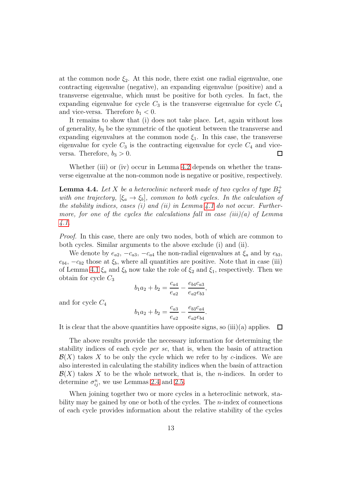at the common node  $\xi_2$ . At this node, there exist one radial eigenvalue, one contracting eigenvalue (negative), an expanding eigenvalue (positive) and a transverse eigenvalue, which must be positive for both cycles. In fact, the expanding eigenvalue for cycle  $C_3$  is the transverse eigenvalue for cycle  $C_4$ and vice-versa. Therefore  $b_1 < 0$ .

It remains to show that (i) does not take place. Let, again without loss of generality,  $b_3$  be the symmetric of the quotient between the transverse and expanding eigenvalues at the common node  $\xi_1$ . In this case, the transverse eigenvalue for cycle  $C_3$  is the contracting eigenvalue for cycle  $C_4$  and viceversa. Therefore,  $b_3 > 0$ .  $\Box$ 

Whether (iii) or (iv) occur in Lemma [4.2](#page-10-1) depends on whether the transverse eigenvalue at the non-common node is negative or positive, respectively.

**Lemma 4.4.** Let X be a heteroclinic network made of two cycles of type  $B_2^+$ with one trajectory,  $[\xi_a \rightarrow \xi_b]$ , common to both cycles. In the calculation of the stability indices, cases (i) and (ii) in Lemma [4.1](#page-10-2) do not occur. Furthermore, for one of the cycles the calculations fall in case (iii)(a) of Lemma [4.1.](#page-10-2)

Proof. In this case, there are only two nodes, both of which are common to both cycles. Similar arguments to the above exclude (i) and (ii).

We denote by  $e_{a2}$ ,  $-c_{a3}$ ,  $-c_{a4}$  the non-radial eigenvalues at  $\xi_a$  and by  $e_{b3}$ ,  $e_{b4}$ ,  $-c_{b2}$  those at  $\xi_b$ , where all quantities are positive. Note that in case (iii) of Lemma [4.1](#page-10-2)  $\xi_a$  and  $\xi_b$  now take the role of  $\xi_2$  and  $\xi_1$ , respectively. Then we obtain for cycle  $C_3$ 

$$
b_1 a_2 + b_2 = \frac{c_{a4}}{e_{a2}} - \frac{e_{b4} c_{a3}}{e_{a2} e_{b3}},
$$

and for cycle  $C_4$ 

$$
b_1 a_2 + b_2 = \frac{c_{a3}}{e_{a2}} - \frac{e_{b3} c_{a4}}{e_{a2} e_{b4}}
$$

.

It is clear that the above quantities have opposite signs, so  $(iii)(a)$  applies.  $\Box$ 

The above results provide the necessary information for determining the stability indices of each cycle per se, that is, when the basin of attraction  $\mathcal{B}(X)$  takes X to be only the cycle which we refer to by c-indices. We are also interested in calculating the stability indices when the basin of attraction  $\mathcal{B}(X)$  takes X to be the whole network, that is, the *n*-indices. In order to determine  $\sigma_{ij}^n$ , we use Lemmas [2.4](#page-5-0) and [2.5.](#page-5-1)

When joining together two or more cycles in a heteroclinic network, stability may be gained by one or both of the cycles. The  $n$ -index of connections of each cycle provides information about the relative stability of the cycles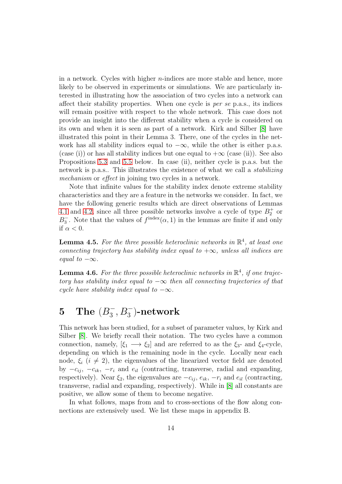in a network. Cycles with higher  $n$ -indices are more stable and hence, more likely to be observed in experiments or simulations. We are particularly interested in illustrating how the association of two cycles into a network can affect their stability properties. When one cycle is per se p.a.s., its indices will remain positive with respect to the whole network. This case does not provide an insight into the different stability when a cycle is considered on its own and when it is seen as part of a network. Kirk and Silber [\[8\]](#page-36-6) have illustrated this point in their Lemma 3. There, one of the cycles in the network has all stability indices equal to  $-\infty$ , while the other is either p.a.s. (case (i)) or has all stability indices but one equal to  $+\infty$  (case (ii)). See also Propositions [5.3](#page-16-0) and [5.5](#page-19-1) below. In case (ii), neither cycle is p.a.s. but the network is p.a.s.. This illustrates the existence of what we call a *stabilizing* mechanism or effect in joining two cycles in a network.

Note that infinite values for the stability index denote extreme stability characteristics and they are a feature in the networks we consider. In fact, we have the following generic results which are direct observations of Lemmas [4.1](#page-10-2) and [4.2,](#page-10-1) since all three possible networks involve a cycle of type  $B_2^+$  or  $B_3^-$ <sup>3</sup>. Note that the values of  $f<sup>index</sup>(\alpha, 1)$  in the lemmas are finite if and only if  $\alpha < 0$ .

<span id="page-13-1"></span>**Lemma 4.5.** For the three possible heteroclinic networks in  $\mathbb{R}^4$ , at least one connecting trajectory has stability index equal to  $+\infty$ , unless all indices are equal to  $-\infty$ .

**Lemma 4.6.** For the three possible heteroclinic networks in  $\mathbb{R}^4$ , if one trajectory has stability index equal to  $-\infty$  then all connecting trajectories of that cycle have stability index equal to  $-\infty$ .

#### <span id="page-13-0"></span>5 The  $(B_3^-)$  $\overline{1_3}, B_3^+$ )-network

This network has been studied, for a subset of parameter values, by Kirk and Silber [\[8\]](#page-36-6). We briefly recall their notation. The two cycles have a common connection, namely,  $[\xi_1 \longrightarrow \xi_2]$  and are referred to as the  $\xi_3$ - and  $\xi_4$ -cycle, depending on which is the remaining node in the cycle. Locally near each node,  $\xi_i$  ( $i \neq 2$ ), the eigenvalues of the linearized vector field are denoted by  $-c_{ij}$ ,  $-c_{ik}$ ,  $-r_i$  and  $e_{il}$  (contracting, transverse, radial and expanding, respectively). Near  $\xi_2$ , the eigenvalues are  $-c_{ij}$ ,  $e_{ik}$ ,  $-r_i$  and  $e_{il}$  (contracting, transverse, radial and expanding, respectively). While in [\[8\]](#page-36-6) all constants are positive, we allow some of them to become negative.

In what follows, maps from and to cross-sections of the flow along connections are extensively used. We list these maps in appendix B.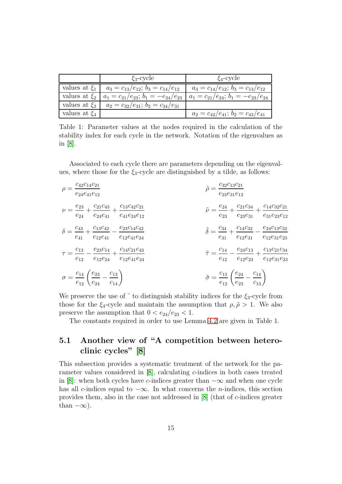|                   | $\xi_3$ -cycle                              | $\xi_4$ -cycle                              |
|-------------------|---------------------------------------------|---------------------------------------------|
| values at $\xi_1$ | $a_3 = c_{13}/e_{12}; b_3 = c_{14}/e_{12}$  | $a_3 = c_{14}/e_{12}; b_3 = c_{13}/e_{12}$  |
| values at $\xi_2$ | $a_1 = c_{21}/e_{23}; b_1 = -e_{24}/e_{23}$ | $a_1 = c_{21}/e_{24}; b_1 = -e_{23}/e_{24}$ |
| values at $\xi_3$ | $a_2 = c_{32}/e_{31}; b_2 = c_{34}/e_{31}$  |                                             |
| values at $\xi_4$ |                                             | $a_2 = c_{42}/e_{41}; b_2 = c_{43}/e_{41}$  |

Table 1: Parameter values at the nodes required in the calculation of the stability index for each cycle in the network. Notation of the eigenvalues as in [\[8\]](#page-36-6).

Associated to each cycle there are parameters depending on the eigenvalues, where those for the  $\xi_3$ -cycle are distinguished by a tilde, as follows:

| $\rho = \frac{c_{42}c_{14}c_{21}}{e_{24}e_{41}e_{12}}$                                                                           | $\tilde{\rho} = \frac{c_{32}c_{13}c_{21}}{e_{23}e_{31}e_{12}}$                                                                            |
|----------------------------------------------------------------------------------------------------------------------------------|-------------------------------------------------------------------------------------------------------------------------------------------|
| $\nu = \frac{e_{23}}{2} + \frac{c_{21}c_{43}}{2} + \frac{c_{13}c_{42}c_{21}}{2}$<br>$e_{24}$ $e_{24}e_{41}$ $e_{41}e_{24}e_{12}$ | $\tilde{\nu} = \frac{e_{24}}{2} + \frac{c_{21}c_{34}}{2} + \frac{c_{14}c_{32}c_{21}}{2}$<br>$e_{23}$ $e_{23}e_{31}$ $e_{31}e_{23}e_{12}$  |
| $\delta = \frac{c_{43}}{e_{41}} + \frac{c_{13}c_{42}}{e_{12}e_{41}} - \frac{e_{23}c_{14}c_{42}}{e_{12}e_{41}e_{24}}$             | $\tilde{\delta} = \frac{c_{34}}{e_{31}} + \frac{c_{14}c_{32}}{e_{12}e_{31}} - \frac{e_{24}c_{13}c_{32}}{e_{12}e_{31}e_{23}}$              |
| $\tau = \frac{c_{13}}{c_{14}} - \frac{e_{23}c_{14}}{e_{14}c_{21}c_{43}}$<br>$e_{12}$ $e_{12}e_{24}$ $e_{12}e_{41}e_{24}$         | $\tilde{\tau} = \frac{c_{14}}{1} - \frac{e_{24}c_{13}}{1} + \frac{c_{13}c_{21}c_{34}}{1}$<br>$e_{12}$ $e_{12}e_{23}$ $e_{12}e_{31}e_{23}$ |
| $\sigma = \frac{c_{14}}{e_{12}} \left( \frac{e_{23}}{e_{24}} - \frac{c_{13}}{c_{14}} \right)$                                    | $\tilde{\sigma} = \frac{c_{13}}{e_{12}} \left( \frac{e_{24}}{e_{23}} - \frac{c_{14}}{c_{13}} \right)$                                     |

We preserve the use of  $\tilde{\ }$  to distinguish stability indices for the  $\xi_3$ -cycle from those for the  $\xi_4$ -cycle and maintain the assumption that  $\rho, \tilde{\rho} > 1$ . We also preserve the assumption that  $0 < e_{24}/e_{23} < 1$ .

The constants required in order to use Lemma [4.2](#page-10-1) are given in Table 1.

### <span id="page-14-0"></span>5.1 Another view of "A competition between heteroclinic cycles" [\[8\]](#page-36-6)

This subsection provides a systematic treatment of the network for the parameter values considered in [\[8\]](#page-36-6), calculating c-indices in both cases treated in [\[8\]](#page-36-6): when both cycles have c-indices greater than  $-\infty$  and when one cycle has all c-indices equal to  $-\infty$ . In what concerns the *n*-indices, this section provides them, also in the case not addressed in  $[8]$  (that of c-indices greater than  $-\infty$ ).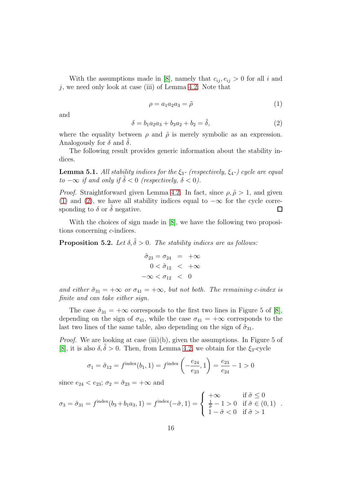With the assumptions made in [\[8\]](#page-36-6), namely that  $c_{ii}$ ,  $e_{ii} > 0$  for all i and j, we need only look at case (iii) of Lemma [4.2.](#page-10-1) Note that

<span id="page-15-0"></span>
$$
\rho = a_1 a_2 a_3 = \tilde{\rho} \tag{1}
$$

and

<span id="page-15-1"></span>
$$
\delta = b_1 a_2 a_3 + b_3 a_2 + b_2 = \tilde{\delta},\tag{2}
$$

where the equality between  $\rho$  and  $\tilde{\rho}$  is merely symbolic as an expression. Analogously for  $\delta$  and  $\delta$ .

The following result provides generic information about the stability indices.

**Lemma 5.1.** All stability indices for the  $\xi_3$ - (respectively,  $\xi_4$ -) cycle are equal to  $-\infty$  if and only if  $\tilde{\delta} < 0$  (respectively,  $\delta < 0$ ).

*Proof.* Straightforward given Lemma [4.2.](#page-10-1) In fact, since  $\rho, \tilde{\rho} > 1$ , and given [\(1\)](#page-15-0) and [\(2\)](#page-15-1), we have all stability indices equal to  $-\infty$  for the cycle corresponding to  $\delta$  or  $\delta$  negative.  $\Box$ 

With the choices of sign made in [\[8\]](#page-36-6), we have the following two propositions concerning c-indices.

<span id="page-15-2"></span>**Proposition 5.2.** Let  $\delta, \tilde{\delta} > 0$ . The stability indices are as follows:

$$
\tilde{\sigma}_{23} = \sigma_{24} = +\infty
$$
  

$$
0 < \tilde{\sigma}_{12} < +\infty
$$
  

$$
-\infty < \sigma_{12} < 0
$$

and either  $\tilde{\sigma}_{31} = +\infty$  or  $\sigma_{41} = +\infty$ , but not both. The remaining c-index is finite and can take either sign.

The case  $\tilde{\sigma}_{31} = +\infty$  corresponds to the first two lines in Figure 5 of [\[8\]](#page-36-6), depending on the sign of  $\sigma_{41}$ , while the case  $\sigma_{41} = +\infty$  corresponds to the last two lines of the same table, also depending on the sign of  $\tilde{\sigma}_{31}$ .

*Proof.* We are looking at case (iii)(b), given the assumptions. In Figure 5 of [\[8\]](#page-36-6), it is also  $\delta, \delta > 0$ . Then, from Lemma [4.2,](#page-10-1) we obtain for the  $\xi_3$ -cycle

$$
\sigma_1 = \tilde{\sigma}_{12} = f^{\text{index}}(b_1, 1) = f^{\text{index}}\left(-\frac{e_{24}}{e_{23}}, 1\right) = \frac{e_{23}}{e_{24}} - 1 > 0
$$

since  $e_{24} < e_{23}$ ;  $\sigma_2 = \tilde{\sigma}_{23} = +\infty$  and

$$
\sigma_3 = \tilde{\sigma}_{31} = f^{\text{index}}(b_3 + b_1 a_3, 1) = f^{\text{index}}(-\tilde{\sigma}, 1) = \begin{cases} +\infty & \text{if } \tilde{\sigma} \leq 0 \\ \frac{1}{\tilde{\sigma}} - 1 > 0 & \text{if } \tilde{\sigma} \in (0, 1) \\ 1 - \tilde{\sigma} < 0 & \text{if } \tilde{\sigma} > 1 \end{cases}
$$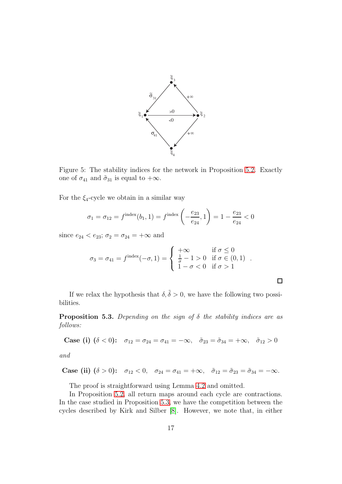

Figure 5: The stability indices for the network in Proposition [5.2.](#page-15-2) Exactly one of  $\sigma_{41}$  and  $\tilde{\sigma}_{31}$  is equal to  $+\infty$ .

For the  $\xi_4$ -cycle we obtain in a similar way

$$
\sigma_1 = \sigma_{12} = f^{\text{index}}(b_1, 1) = f^{\text{index}}\left(-\frac{e_{23}}{e_{24}}, 1\right) = 1 - \frac{e_{23}}{e_{24}} < 0
$$

since  $e_{24} < e_{23}$ ;  $\sigma_2 = \sigma_{24} = +\infty$  and

$$
\sigma_3 = \sigma_{41} = f^{\text{index}}(-\sigma, 1) = \begin{cases}\n+\infty & \text{if } \sigma \leq 0 \\
\frac{1}{\sigma} - 1 > 0 \\
1 - \sigma < 0 \text{ if } \sigma > 1\n\end{cases}.
$$

 $\Box$ 

If we relax the hypothesis that  $\delta, \tilde{\delta} > 0$ , we have the following two possibilities.

<span id="page-16-0"></span>**Proposition 5.3.** Depending on the sign of  $\delta$  the stability indices are as follows:

Case (i) 
$$
(\delta < 0)
$$
:  $\sigma_{12} = \sigma_{24} = \sigma_{41} = -\infty$ ,  $\tilde{\sigma}_{23} = \tilde{\sigma}_{34} = +\infty$ ,  $\tilde{\sigma}_{12} > 0$ 

and

Case (ii) 
$$
(\delta > 0)
$$
:  $\sigma_{12} < 0$ ,  $\sigma_{24} = \sigma_{41} = +\infty$ ,  $\tilde{\sigma}_{12} = \tilde{\sigma}_{23} = \tilde{\sigma}_{34} = -\infty$ .

The proof is straightforward using Lemma [4.2](#page-10-1) and omitted.

In Proposition [5.2,](#page-15-2) all return maps around each cycle are contractions. In the case studied in Proposition [5.3,](#page-16-0) we have the competition between the cycles described by Kirk and Silber [\[8\]](#page-36-6). However, we note that, in either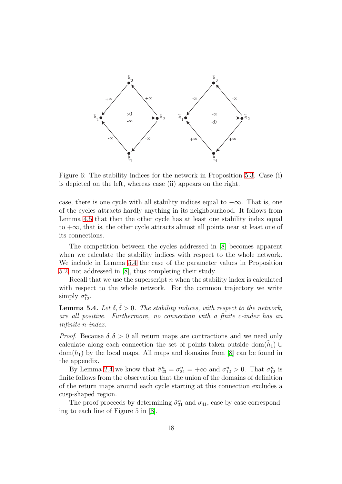

Figure 6: The stability indices for the network in Proposition [5.3.](#page-16-0) Case (i) is depicted on the left, whereas case (ii) appears on the right.

case, there is one cycle with all stability indices equal to  $-\infty$ . That is, one of the cycles attracts hardly anything in its neighbourhood. It follows from Lemma [4.5](#page-13-1) that then the other cycle has at least one stability index equal to  $+\infty$ , that is, the other cycle attracts almost all points near at least one of its connections.

The competition between the cycles addressed in [\[8\]](#page-36-6) becomes apparent when we calculate the stability indices with respect to the whole network. We include in Lemma [5.4](#page-17-0) the case of the parameter values in Proposition [5.2,](#page-15-2) not addressed in [\[8\]](#page-36-6), thus completing their study.

Recall that we use the superscript  $n$  when the stability index is calculated with respect to the whole network. For the common trajectory we write simply  $\sigma_{12}^n$ .

<span id="page-17-0"></span>**Lemma 5.4.** Let  $\delta, \tilde{\delta} > 0$ . The stability indices, with respect to the network, are all positive. Furthermore, no connection with a finite c-index has an infinite n-index.

*Proof.* Because  $\delta, \tilde{\delta} > 0$  all return maps are contractions and we need only calculate along each connection the set of points taken outside dom $(\tilde{h}_1)$  $dom(h_1)$  by the local maps. All maps and domains from [\[8\]](#page-36-6) can be found in the appendix.

By Lemma [2.4](#page-5-0) we know that  $\tilde{\sigma}_{23}^n = \sigma_{24}^n = +\infty$  and  $\sigma_{12}^n > 0$ . That  $\sigma_{12}^n$  is finite follows from the observation that the union of the domains of definition of the return maps around each cycle starting at this connection excludes a cusp-shaped region.

The proof proceeds by determining  $\tilde{\sigma}_{31}^{n}$  and  $\sigma_{41}$ , case by case corresponding to each line of Figure 5 in [\[8\]](#page-36-6).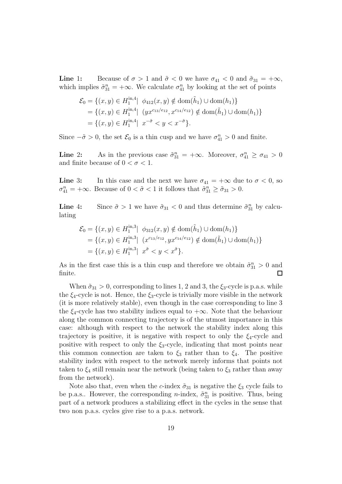Line 1: Because of  $\sigma > 1$  and  $\tilde{\sigma} < 0$  we have  $\sigma_{41} < 0$  and  $\tilde{\sigma}_{31} = +\infty$ , which implies  $\tilde{\sigma}_{31}^n = +\infty$ . We calculate  $\sigma_{41}^n$  by looking at the set of points

$$
\mathcal{E}_0 = \{(x, y) \in H_1^{\text{in}, 4} | \phi_{412}(x, y) \notin \text{dom}(\tilde{h}_1) \cup \text{dom}(h_1)\}
$$
  
=  $\{(x, y) \in H_1^{\text{in}, 4} | (yx^{c_{13}/e_{12}}, x^{c_{14}/e_{12}}) \notin \text{dom}(\tilde{h}_1) \cup \text{dom}(h_1)\}$   
=  $\{(x, y) \in H_1^{\text{in}, 4} | x^{-\tilde{\sigma}} < y < x^{-\tilde{\sigma}}\}.$ 

Since  $-\tilde{\sigma} > 0$ , the set  $\mathcal{E}_0$  is a thin cusp and we have  $\sigma_{41}^n > 0$  and finite.

**Line** 2: As in the previous case  $\tilde{\sigma}_{31}^n = +\infty$ . Moreover,  $\sigma_{41}^n \ge \sigma_{41} > 0$ and finite because of  $0 < \sigma < 1$ .

**Line** 3: In this case and the next we have  $\sigma_{41} = +\infty$  due to  $\sigma < 0$ , so  $\sigma_{41}^n = +\infty$ . Because of  $0 < \tilde{\sigma} < 1$  it follows that  $\tilde{\sigma}_{31}^n \ge \tilde{\sigma}_{31} > 0$ .

**Line** 4: Since  $\tilde{\sigma} > 1$  we have  $\tilde{\sigma}_{31} < 0$  and thus determine  $\tilde{\sigma}_{31}^n$  by calculating

$$
\mathcal{E}_0 = \{(x, y) \in H_1^{\text{in},3} | \phi_{312}(x, y) \notin \text{dom}(\tilde{h}_1) \cup \text{dom}(h_1)\}
$$
  
=  $\{(x, y) \in H_1^{\text{in},3} | (x^{c_{13}/e_{12}}, yx^{c_{14}/e_{12}}) \notin \text{dom}(\tilde{h}_1) \cup \text{dom}(h_1)\}$   
=  $\{(x, y) \in H_1^{\text{in},3} | x^{\tilde{\sigma}} < y < x^{\tilde{\sigma}}\}.$ 

As in the first case this is a thin cusp and therefore we obtain  $\tilde{\sigma}_{31}^n > 0$  and finite.  $\Box$ 

When  $\tilde{\sigma}_{31} > 0$ , corresponding to lines 1, 2 and 3, the  $\xi_3$ -cycle is p.a.s. while the  $\xi_4$ -cycle is not. Hence, the  $\xi_3$ -cycle is trivially more visible in the network (it is more relatively stable), even though in the case corresponding to line 3 the  $\xi_4$ -cycle has two stability indices equal to  $+\infty$ . Note that the behaviour along the common connecting trajectory is of the utmost importance in this case: although with respect to the network the stability index along this trajectory is positive, it is negative with respect to only the  $\xi_4$ -cycle and positive with respect to only the  $\xi_3$ -cycle, indicating that most points near this common connection are taken to  $\xi_3$  rather than to  $\xi_4$ . The positive stability index with respect to the network merely informs that points not taken to  $\xi_4$  still remain near the network (being taken to  $\xi_3$  rather than away from the network).

Note also that, even when the c-index  $\tilde{\sigma}_{31}$  is negative the  $\xi_3$  cycle fails to be p.a.s.. However, the corresponding *n*-index,  $\tilde{\sigma}_{31}^n$  is positive. Thus, being part of a network produces a stabilizing effect in the cycles in the sense that two non p.a.s. cycles give rise to a p.a.s. network.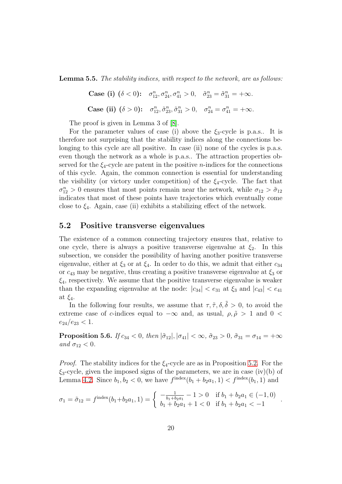<span id="page-19-1"></span>Lemma 5.5. The stability indices, with respect to the network, are as follows:

Case (i)  $(\delta < 0)$ :  $\sigma_{12}^n, \sigma_{24}^n, \sigma_{41}^n > 0$ ,  $\tilde{\sigma}_{23}^n = \tilde{\sigma}_{31}^n = +\infty$ . Case (ii)  $(\delta > 0)$ :  $\sigma_{12}^n, \tilde{\sigma}_{23}^n, \tilde{\sigma}_{31}^n > 0$ ,  $\sigma_{24}^n = \sigma_{41}^n = +\infty$ .

The proof is given in Lemma 3 of [\[8\]](#page-36-6).

For the parameter values of case (i) above the  $\xi_3$ -cycle is p.a.s.. It is therefore not surprising that the stability indices along the connections belonging to this cycle are all positive. In case (ii) none of the cycles is p.a.s. even though the network as a whole is p.a.s.. The attraction properties observed for the  $\xi_4$ -cycle are patent in the positive *n*-indices for the connections of this cycle. Again, the common connection is essential for understanding the visibility (or victory under competition) of the  $\xi_4$ -cycle. The fact that  $\sigma_{12}^n > 0$  ensures that most points remain near the network, while  $\sigma_{12} > \tilde{\sigma}_{12}$ indicates that most of these points have trajectories which eventually come close to  $\xi_4$ . Again, case (ii) exhibits a stabilizing effect of the network.

#### <span id="page-19-0"></span>5.2 Positive transverse eigenvalues

The existence of a common connecting trajectory ensures that, relative to one cycle, there is always a positive transverse eigenvalue at  $\xi_2$ . In this subsection, we consider the possibility of having another positive transverse eigenvalue, either at  $\xi_3$  or at  $\xi_4$ . In order to do this, we admit that either  $c_{34}$ or  $c_{43}$  may be negative, thus creating a positive transverse eigenvalue at  $\xi_3$  or  $\xi_4$ , respectively. We assume that the positive transverse eigenvalue is weaker than the expanding eigenvalue at the node:  $|c_{34}| < e_{31}$  at  $\xi_3$  and  $|c_{43}| < e_{41}$ at  $\xi_4$ .

In the following four results, we assume that  $\tau$ ,  $\tilde{\tau}$ ,  $\delta$ ,  $\tilde{\delta} > 0$ , to avoid the extreme case of c-indices equal to  $-\infty$  and, as usual,  $\rho, \tilde{\rho} > 1$  and  $0 <$  $e_{24}/e_{23} < 1.$ 

<span id="page-19-2"></span>**Proposition 5.6.** If  $c_{34} < 0$ , then  $|\tilde{\sigma}_{12}|, |\sigma_{41}| < \infty$ ,  $\tilde{\sigma}_{23} > 0$ ,  $\tilde{\sigma}_{31} = \sigma_{14} = +\infty$ and  $\sigma_{12} < 0$ .

*Proof.* The stability indices for the  $\xi_4$ -cycle are as in Proposition [5.2.](#page-15-2) For the  $\xi_3$ -cycle, given the imposed signs of the parameters, we are in case (iv)(b) of Lemma [4.2.](#page-10-1) Since  $b_1, b_2 < 0$ , we have  $f^{\text{index}}(b_1 + b_2 a_1, 1) < f^{\text{index}}(b_1, 1)$  and

$$
\sigma_1 = \tilde{\sigma}_{12} = f^{\text{index}}(b_1 + b_2 a_1, 1) = \begin{cases} -\frac{1}{b_1 + b_2 a_1} - 1 > 0 & \text{if } b_1 + b_2 a_1 \in (-1, 0) \\ b_1 + b_2 a_1 + 1 < 0 & \text{if } b_1 + b_2 a_1 < -1 \end{cases}
$$

.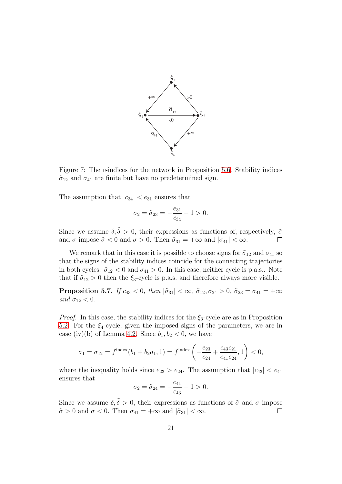

Figure 7: The c-indices for the network in Proposition [5.6.](#page-19-2) Stability indices  $\tilde{\sigma}_{12}$  and  $\sigma_{41}$  are finite but have no predetermined sign.

The assumption that  $|c_{34}| < e_{31}$  ensures that

$$
\sigma_2 = \tilde{\sigma}_{23} = -\frac{e_{31}}{c_{34}} - 1 > 0.
$$

Since we assume  $\delta, \tilde{\delta} > 0$ , their expressions as functions of, respectively,  $\tilde{\sigma}$ and  $\sigma$  impose  $\tilde{\sigma} < 0$  and  $\sigma > 0$ . Then  $\tilde{\sigma}_{31} = +\infty$  and  $|\sigma_{41}| < \infty$ .  $\Box$ 

We remark that in this case it is possible to choose signs for  $\tilde{\sigma}_{12}$  and  $\sigma_{41}$  so that the signs of the stability indices coincide for the connecting trajectories in both cycles:  $\tilde{\sigma}_{12} < 0$  and  $\sigma_{41} > 0$ . In this case, neither cycle is p.a.s.. Note that if  $\tilde{\sigma}_{12} > 0$  then the  $\xi_3$ -cycle is p.a.s. and therefore always more visible.

<span id="page-20-0"></span>**Proposition 5.7.** If  $c_{43} < 0$ , then  $|\tilde{\sigma}_{31}| < \infty$ ,  $\tilde{\sigma}_{12}, \sigma_{24} > 0$ ,  $\tilde{\sigma}_{23} = \sigma_{41} = +\infty$ and  $\sigma_{12} < 0$ .

*Proof.* In this case, the stability indices for the  $\xi_3$ -cycle are as in Proposition [5.2.](#page-15-2) For the  $\xi_4$ -cycle, given the imposed signs of the parameters, we are in case (iv)(b) of Lemma [4.2.](#page-10-1) Since  $b_1, b_2 < 0$ , we have

$$
\sigma_1 = \sigma_{12} = f^{\text{index}}(b_1 + b_2 a_1, 1) = f^{\text{index}}\left(-\frac{e_{23}}{e_{24}} + \frac{c_{43}c_{21}}{e_{41}e_{24}}, 1\right) < 0,
$$

where the inequality holds since  $e_{23} > e_{24}$ . The assumption that  $|c_{43}| < e_{41}$ ensures that

$$
\sigma_2 = \tilde{\sigma}_{24} = -\frac{e_{41}}{c_{43}} - 1 > 0.
$$

Since we assume  $\delta, \tilde{\delta} > 0$ , their expressions as functions of  $\tilde{\sigma}$  and  $\sigma$  impose  $\tilde{\sigma} > 0$  and  $\sigma < 0$ . Then  $\sigma_{41} = +\infty$  and  $|\tilde{\sigma}_{31}| < \infty$ .  $\Box$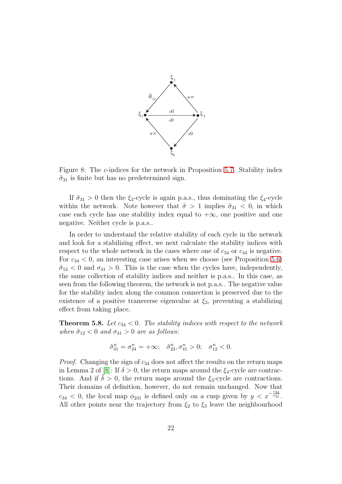

Figure 8: The c-indices for the network in Proposition [5.7.](#page-20-0) Stability index  $\tilde{\sigma}_{31}$  is finite but has no predetermined sign.

If  $\tilde{\sigma}_{31} > 0$  then the  $\xi_3$ -cycle is again p.a.s., thus dominating the  $\xi_4$ -cycle within the network. Note however that  $\tilde{\sigma} > 1$  implies  $\tilde{\sigma}_{31} < 0$ , in which case each cycle has one stability index equal to  $+\infty$ , one positive and one negative. Neither cycle is p.a.s..

In order to understand the relative stability of each cycle in the network and look for a stabilizing effect, we next calculate the stability indices with respect to the whole network in the cases where one of  $c_{34}$  or  $c_{43}$  is negative. For  $c_{34} < 0$ , an interesting case arises when we choose (see Proposition [5.6\)](#page-19-2)  $\tilde{\sigma}_{12}$  < 0 and  $\sigma_{41}$  > 0. This is the case when the cycles have, independently, the same collection of stability indices and neither is p.a.s.. In this case, as seen from the following theorem, the network is not p.a.s.. The negative value for the stability index along the common connection is preserved due to the existence of a positive transverse eigenvalue at  $\xi_3$ , preventing a stabilizing effect from taking place.

<span id="page-21-0"></span>**Theorem 5.8.** Let  $c_{34} < 0$ . The stability indices with respect to the network when  $\tilde{\sigma}_{12} < 0$  and  $\sigma_{41} > 0$  are as follows:

$$
\tilde{\sigma}_{31}^n = \sigma_{24}^n = +\infty; \quad \tilde{\sigma}_{23}^n, \sigma_{41}^n > 0; \quad \sigma_{12}^n < 0.
$$

*Proof.* Changing the sign of  $c_{34}$  does not affect the results on the return maps in Lemma 2 of [\[8\]](#page-36-6): If  $\delta > 0$ , the return maps around the  $\xi_4$ -cycle are contractions. And if  $\delta > 0$ , the return maps around the  $\xi_3$ -cycle are contractions. Their domains of definition, however, do not remain unchanged. Now that  $c_{34}$  < 0, the local map  $\phi_{231}$  is defined only on a cusp given by  $y < x^{-\frac{c_{34}}{e_{31}}}$ . All other points near the trajectory from  $\xi_2$  to  $\xi_3$  leave the neighbourhood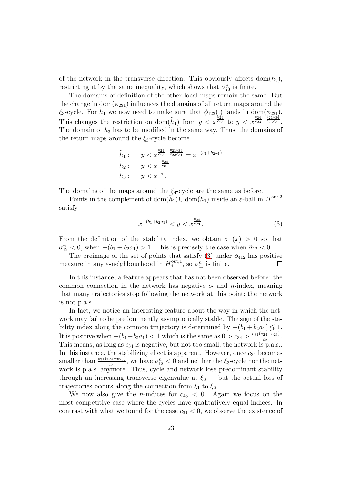of the network in the transverse direction. This obviously affects  $dom(\tilde{h}_2)$ , restricting it by the same inequality, which shows that  $\tilde{\sigma}_{23}^n$  is finite.

The domains of definition of the other local maps remain the same. But the change in dom $(\phi_{231})$  influences the domains of all return maps around the  $\xi_3$ -cycle. For  $\tilde{h}_1$  we now need to make sure that  $\phi_{123}(.)$  lands in dom $(\phi_{231})$ . This changes the restriction on dom $(\tilde{h}_1)$  from  $y < x^{\frac{e_{24}}{e_{23}}}$  to  $y < x^{\frac{e_{24}}{e_{23}-e_{33}-e_{23}}$ . The domain of  $\tilde{h}_3$  has to be modified in the same way. Thus, the domains of the return maps around the  $\xi_3$ -cycle become

$$
\tilde{h}_1: \quad y < x^{\frac{e_{24}}{e_{23}} - \frac{e_{21}e_{34}}{e_{23}e_{31}}} = x^{-(b_1 + b_2 a_1)}
$$
\n
$$
\tilde{h}_2: \quad y < x^{-\frac{e_{34}}{e_{31}}}
$$
\n
$$
\tilde{h}_3: \quad y < x^{-\tilde{\tau}}.
$$

The domains of the maps around the  $\xi_4$ -cycle are the same as before.

Points in the complement of  $\text{dom}(\tilde{h}_1) \cup \text{dom}(h_1)$  inside an  $\varepsilon$ -ball in  $H_1^{\text{out},2}$ 1 satisfy

<span id="page-22-0"></span>
$$
x^{-(b_1+b_2a_1)} < y < x^{\frac{e_{24}}{e_{23}}}.
$$
 (3)

From the definition of the stability index, we obtain  $\sigma_-(x) > 0$  so that  $\sigma_{12}^n < 0$ , when  $-(b_1 + b_2 a_1) > 1$ . This is precisely the case when  $\tilde{\sigma}_{12} < 0$ .

The preimage of the set of points that satisfy [\(3\)](#page-22-0) under  $\phi_{412}$  has positive measure in any  $\varepsilon$ -neighbourhood in  $H_4^{\text{out},1}$  $a_4^{\text{out},1}$ , so  $\sigma_{41}^n$  is finite.

In this instance, a feature appears that has not been observed before: the common connection in the network has negative  $c$ - and  $n$ -index, meaning that many trajectories stop following the network at this point; the network is not p.a.s..

In fact, we notice an interesting feature about the way in which the network may fail to be predominantly asymptotically stable. The sign of the stability index along the common trajectory is determined by  $-(b_1 + b_2 a_1) \leq 1$ . It is positive when  $-(b_1+b_2a_1)$  < 1 which is the same as  $0 > c_{34} > \frac{e_{31}(e_{24}-e_{23})}{c_{31}}$  $\frac{24-e_{23}}{c_{21}}$ . This means, as long as  $c_{34}$  is negative, but not too small, the network is p.a.s.. In this instance, the stabilizing effect is apparent. However, once  $c_{34}$  becomes smaller than  $\frac{e_{31}(e_{24}-e_{23})}{e_{21}}$ , we have  $\sigma_{12}^n < 0$  and neither the  $\xi_3$ -cycle nor the network is p.a.s. anymore. Thus, cycle and network lose predominant stability through an increasing transverse eigenvalue at  $\xi_3$  — but the actual loss of trajectories occurs along the connection from  $\xi_1$  to  $\xi_2$ .

We now also give the *n*-indices for  $c_{43} < 0$ . Again we focus on the most competitive case where the cycles have qualitatively equal indices. In contrast with what we found for the case  $c_{34} < 0$ , we observe the existence of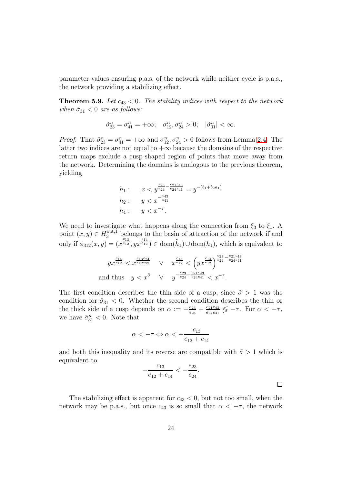parameter values ensuring p.a.s. of the network while neither cycle is p.a.s., the network providing a stabilizing effect.

<span id="page-23-0"></span>**Theorem 5.9.** Let  $c_{43} < 0$ . The stability indices with respect to the network when  $\tilde{\sigma}_{31} < 0$  are as follows:

$$
\tilde{\sigma}_{23}^n = \sigma_{41}^n = +\infty; \quad \sigma_{12}^n, \sigma_{24}^n > 0; \quad |\tilde{\sigma}_{31}^n| < \infty.
$$

*Proof.* That  $\tilde{\sigma}_{23}^n = \sigma_{41}^n = +\infty$  and  $\sigma_{12}^n, \sigma_{24}^n > 0$  follows from Lemma [2.4.](#page-5-0) The latter two indices are not equal to  $+\infty$  because the domains of the respective return maps exclude a cusp-shaped region of points that move away from the network. Determining the domains is analogous to the previous theorem, yielding

$$
h_1: \quad x < y^{\frac{e_{23}}{e_{24}} - \frac{c_{21}c_{43}}{e_{24}e_{41}}} = y^{-(b_1 + b_2 a_1)}
$$
\n
$$
h_2: \quad y < x^{-\frac{c_{43}}{e_{41}}}
$$
\n
$$
h_4: \quad y < x^{-\tau}.
$$

We need to investigate what happens along the connection from  $\xi_3$  to  $\xi_1$ . A point  $(x, y) \in H_3^{\text{out},1}$  belongs to the basin of attraction of the network if and only if  $\phi_{312}(x, y) = (x^{\frac{c_{13}}{e_{12}}}, yx^{\frac{c_{14}}{e_{12}}}) \in \text{dom}(\tilde{h}_1) \cup \text{dom}(h_1)$ , which is equivalent to

$$
yx^{\frac{c_{14}}{e_{12}}} < x^{\frac{c_{13}e_{24}}{e_{12}e_{23}}} \quad \vee \quad x^{\frac{c_{13}}{e_{12}}} < \left(yx^{\frac{c_{14}}{e_{12}}}\right)^{\frac{e_{23}}{e_{24}} - \frac{c_{21}c_{43}}{e_{24}e_{41}}} \\
 \text{and thus} \quad y < x^{\tilde{\sigma}} \quad \vee \quad y^{-\frac{e_{23}}{e_{24}} + \frac{c_{21}c_{43}}{e_{24}e_{41}}} < x^{-\tau}.
$$

The first condition describes the thin side of a cusp, since  $\tilde{\sigma} > 1$  was the condition for  $\tilde{\sigma}_{31}$  < 0. Whether the second condition describes the thin or the thick side of a cusp depends on  $\alpha := -\frac{e^{i} \alpha}{e^{i} \alpha}$  $\frac{e_{23}}{e_{24}}+\frac{c_{21}c_{43}}{e_{24}e_{41}}$  $\frac{c_{21}c_{43}}{e_{24}e_{41}} \lessgtr -\tau$ . For  $\alpha < -\tau$ , we have  $\tilde{\sigma}_{31}^n < 0$ . Note that

$$
\alpha < -\tau \Leftrightarrow \alpha < -\frac{c_{13}}{e_{12} + c_{14}}
$$

and both this inequality and its reverse are compatible with  $\tilde{\sigma} > 1$  which is equivalent to

$$
-\frac{c_{13}}{e_{12}+c_{14}} < -\frac{e_{23}}{e_{24}}.
$$

 $\Box$ 

The stabilizing effect is apparent for  $c_{43} < 0$ , but not too small, when the network may be p.a.s., but once  $c_{43}$  is so small that  $\alpha < -\tau$ , the network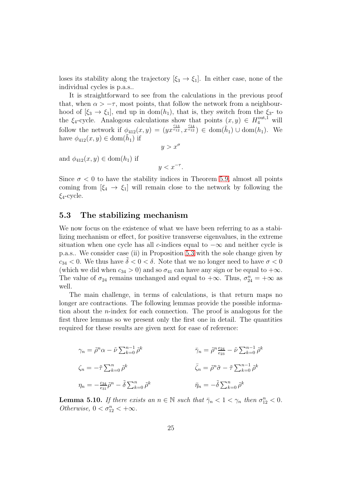loses its stability along the trajectory  $[\xi_3 \to \xi_1]$ . In either case, none of the individual cycles is p.a.s..

It is straightforward to see from the calculations in the previous proof that, when  $\alpha > -\tau$ , most points, that follow the network from a neighbourhood of  $[\xi_3 \to \xi_1]$ , end up in dom(h<sub>1</sub>), that is, they switch from the  $\xi_3$ - to the  $\xi_4$ -cycle. Analogous calculations show that points  $(x, y) \in H_4^{\text{out},1}$  will follow the network if  $\phi_{412}(x,y) = (yx^{\frac{c_{13}}{e_{12}}}, x^{\frac{c_{14}}{e_{12}}}) \in \text{dom}(\tilde{h}_1) \cup \text{dom}(h_1)$ . We have  $\phi_{412}(x, y) \in \text{dom}(\tilde{h}_1)$  if

$$
y > x^{\sigma}
$$

and  $\phi_{412}(x, y) \in \text{dom}(h_1)$  if

 $y < x^{-\tau}$ .

Since  $\sigma$  < 0 to have the stability indices in Theorem [5.9,](#page-23-0) almost all points coming from  $[\xi_4 \rightarrow \xi_1]$  will remain close to the network by following the  $\xi_4$ -cycle.

#### <span id="page-24-0"></span>5.3 The stabilizing mechanism

We now focus on the existence of what we have been referring to as a stabilizing mechanism or effect, for positive transverse eigenvalues, in the extreme situation when one cycle has all c-indices equal to  $-\infty$  and neither cycle is p.a.s.. We consider case (ii) in Proposition [5.3](#page-16-0) with the sole change given by  $c_{34} < 0$ . We thus have  $\delta < 0 < \delta$ . Note that we no longer need to have  $\sigma < 0$ (which we did when  $c_{34} > 0$ ) and so  $\sigma_{41}$  can have any sign or be equal to  $+\infty$ . The value of  $\sigma_{24}$  remains unchanged and equal to  $+\infty$ . Thus,  $\sigma_{24}^n = +\infty$  as well.

The main challenge, in terms of calculations, is that return maps no longer are contractions. The following lemmas provide the possible information about the n-index for each connection. The proof is analogous for the first three lemmas so we present only the first one in detail. The quantities required for these results are given next for ease of reference:

$$
\gamma_n = \tilde{\rho}^n \alpha - \tilde{\nu} \sum_{k=0}^{n-1} \tilde{\rho}^k
$$
  
\n
$$
\tilde{\gamma}_n = \tilde{\rho}^n \frac{e_{24}}{e_{23}} - \tilde{\nu} \sum_{k=0}^{n-1} \tilde{\rho}^k
$$
  
\n
$$
\tilde{\zeta}_n = -\tilde{\tau} \sum_{k=0}^n \tilde{\rho}^k
$$
  
\n
$$
\bar{\gamma}_n = \tilde{\rho}^n \tilde{\sigma} - \tilde{\tau} \sum_{k=0}^{n-1} \tilde{\rho}^k
$$
  
\n
$$
\bar{\eta}_n = -\tilde{\delta} \sum_{k=0}^n \tilde{\rho}^k
$$
  
\n
$$
\bar{\eta}_n = -\tilde{\delta} \sum_{k=0}^n \tilde{\rho}^k
$$

**Lemma 5.10.** If there exists an  $n \in \mathbb{N}$  such that  $\bar{\gamma}_n < 1 < \gamma_n$  then  $\sigma_{12}^n < 0$ . Otherwise,  $0 < \sigma_{12}^n < +\infty$ .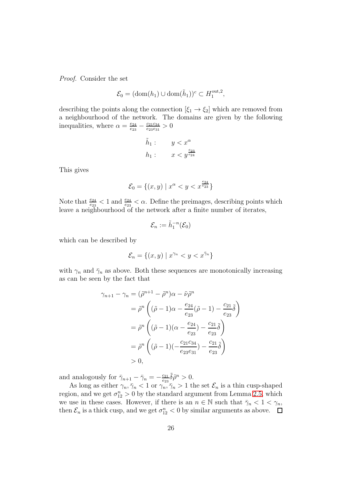Proof. Consider the set

$$
\mathcal{E}_0 = (\text{dom}(h_1) \cup \text{dom}(\tilde{h}_1))^c \subset H_1^{\text{out},2},
$$

describing the points along the connection  $[\xi_1 \rightarrow \xi_2]$  which are removed from a neighbourhood of the network. The domains are given by the following inequalities, where  $\alpha = \frac{e_{24}}{e_{22}}$  $\frac{e_{24}}{e_{23}} - \frac{c_{21}c_{34}}{e_{23}e_{31}}$  $\frac{c_{21}c_{34}}{e_{23}e_{31}}>0$ 

$$
\tilde{h}_1: \qquad y < x^{\alpha} \nh_1: \qquad x < y^{\frac{e_{23}}{e_{24}}}
$$

This gives

$$
\mathcal{E}_0 = \{(x, y) \mid x^{\alpha} < y < x^{\frac{e_{24}}{e_{23}}}\}
$$

Note that  $\frac{e_{24}}{e_{23}} < 1$  and  $\frac{e_{24}}{e_{23}} < \alpha$ . Define the preimages, describing points which leave a neighbourhood of the network after a finite number of iterates,

$$
\mathcal{E}_n:=\tilde{h}_1^{-n}(\mathcal{E}_0)
$$

which can be described by

$$
\mathcal{E}_n = \{(x, y) \mid x^{\gamma_n} < y < x^{\bar{\gamma}_n}\}
$$

with  $\gamma_n$  and  $\bar{\gamma}_n$  as above. Both these sequences are monotonically increasing as can be seen by the fact that

$$
\gamma_{n+1} - \gamma_n = (\tilde{\rho}^{n+1} - \tilde{\rho}^n)\alpha - \tilde{\nu}\tilde{\rho}^n
$$
  
\n
$$
= \tilde{\rho}^n \left( (\tilde{\rho} - 1)\alpha - \frac{e_{24}}{e_{23}} (\tilde{\rho} - 1) - \frac{c_{21}}{e_{23}} \tilde{\delta} \right)
$$
  
\n
$$
= \tilde{\rho}^n \left( (\tilde{\rho} - 1)(\alpha - \frac{e_{24}}{e_{23}}) - \frac{c_{21}}{e_{23}} \tilde{\delta} \right)
$$
  
\n
$$
= \tilde{\rho}^n \left( (\tilde{\rho} - 1)(-\frac{c_{21}c_{34}}{e_{23}e_{31}}) - \frac{c_{21}}{e_{23}} \tilde{\delta} \right)
$$
  
\n
$$
> 0,
$$

and analogously for  $\bar{\gamma}_{n+1} - \bar{\gamma}_n = -\frac{c_{21}}{c_{22}}$  $\frac{c_{21}}{e_{23}}\tilde{\delta}\tilde{\rho}^n>0.$ 

As long as either  $\gamma_n, \bar{\gamma}_n < 1$  or  $\gamma_n, \bar{\gamma}_n > 1$  the set  $\mathcal{E}_n$  is a thin cusp-shaped region, and we get  $\sigma_{12}^n > 0$  by the standard argument from Lemma [2.5,](#page-5-1) which we use in these cases. However, if there is an  $n \in \mathbb{N}$  such that  $\bar{\gamma}_n < 1 < \gamma_n$ , then  $\mathcal{E}_n$  is a thick cusp, and we get  $\sigma_{12}^n < 0$  by similar arguments as above.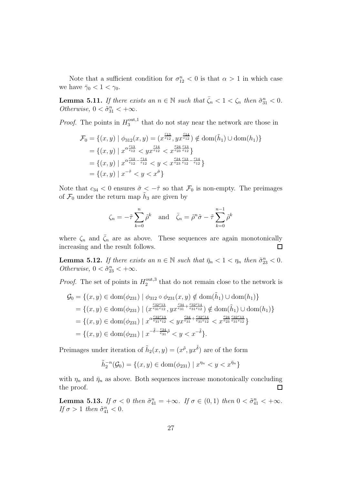Note that a sufficient condition for  $\sigma_{12}^n < 0$  is that  $\alpha > 1$  in which case we have  $\bar{\gamma}_0 < 1 < \gamma_0$ .

**Lemma 5.11.** If there exists an  $n \in \mathbb{N}$  such that  $\bar{\zeta}_n < 1 < \zeta_n$  then  $\tilde{\sigma}_{31}^n < 0$ . Otherwise,  $0 < \tilde{\sigma}_{31}^{n} < +\infty$ .

*Proof.* The points in  $H_3^{\text{out},1}$  $_{3}^{\text{out},1}$  that do not stay near the network are those in

$$
\mathcal{F}_0 = \{(x, y) \mid \phi_{312}(x, y) = (x^{\frac{c_{13}}{e_{12}}}, yx^{\frac{c_{14}}{e_{12}}}) \notin \text{dom}(\tilde{h}_1) \cup \text{dom}(h_1)\}\
$$

$$
= \{(x, y) \mid x^{\alpha \frac{c_{13}}{e_{12}}} < yx^{\frac{c_{14}}{e_{12}}} < x^{\frac{e_{24}}{e_{23}}\frac{c_{13}}{e_{12}}}\}
$$

$$
= \{(x, y) \mid x^{\alpha \frac{c_{13}}{e_{12}} - \frac{c_{14}}{e_{12}}} < y < x^{\frac{c_{24}}{e_{23}}\frac{c_{13}}{e_{12}} - \frac{c_{14}}{e_{12}}}\}
$$

$$
= \{(x, y) \mid x^{-\tilde{\tau}} < y < x^{\tilde{\sigma}}\}
$$

Note that  $c_{34} < 0$  ensures  $\tilde{\sigma} < -\tilde{\tau}$  so that  $\mathcal{F}_0$  is non-empty. The preimages of  $\mathcal{F}_0$  under the return map  $\tilde{h}_3$  are given by

$$
\zeta_n = -\tilde{\tau} \sum_{k=0}^n \tilde{\rho}^k \quad \text{and} \quad \bar{\zeta}_n = \tilde{\rho}^n \tilde{\sigma} - \tilde{\tau} \sum_{k=0}^{n-1} \tilde{\rho}^k
$$

where  $\zeta_n$  and  $\bar{\zeta}_n$  are as above. These sequences are again monotonically increasing and the result follows.  $\Box$ 

**Lemma 5.12.** If there exists an  $n \in \mathbb{N}$  such that  $\bar{\eta}_n < 1 < \eta_n$  then  $\tilde{\sigma}_{23}^n < 0$ . Otherwise,  $0 < \tilde{\sigma}_{23}^n < +\infty$ .

*Proof.* The set of points in  $H_2^{\text{out},3}$  $_{2}^{\text{out,3}}$  that do not remain close to the network is

$$
\mathcal{G}_0 = \{(x, y) \in \text{dom}(\phi_{231}) \mid \phi_{312} \circ \phi_{231}(x, y) \notin \text{dom}(\tilde{h}_1) \cup \text{dom}(h_1)\}\
$$
  
\n
$$
= \{(x, y) \in \text{dom}(\phi_{231}) \mid (x^{\frac{c_{32}c_{13}}{e_{31}c_{12}}}, yx^{\frac{c_{34}}{e_{31}} + \frac{c_{32}c_{14}}{e_{31}c_{12}}}) \notin \text{dom}(\tilde{h}_1) \cup \text{dom}(h_1)\}\
$$
  
\n
$$
= \{(x, y) \in \text{dom}(\phi_{231}) \mid x^{\alpha \frac{c_{32}c_{13}}{e_{31}c_{12}}} \leq yx^{\frac{c_{34}}{e_{31}} + \frac{c_{32}c_{14}}{e_{31}c_{12}}} \leq x^{\frac{c_{24}}{e_{23}}\frac{c_{32}c_{13}}{e_{31}c_{12}}}\}
$$
  
\n
$$
= \{(x, y) \in \text{dom}(\phi_{231}) \mid x^{-\tilde{\delta} - \frac{c_{34}}{e_{31}}\tilde{\rho}} \leq y < x^{-\tilde{\delta}}\}.
$$

Preimages under iteration of  $\tilde{h}_2(x, y) = (x^{\tilde{\rho}}, yx^{\tilde{\delta}})$  are of the form

$$
\tilde{h}_2^{-n}(\mathcal{G}_0) = \{(x, y) \in \text{dom}(\phi_{231}) \mid x^{\eta_n} < y < x^{\bar{\eta}_n}\}
$$

with  $\eta_n$  and  $\bar{\eta}_n$  as above. Both sequences increase monotonically concluding the proof.  $\Box$ 

**Lemma 5.13.** If  $\sigma < 0$  then  $\tilde{\sigma}_{41}^n = +\infty$ . If  $\sigma \in (0,1)$  then  $0 < \tilde{\sigma}_{41}^n < +\infty$ . If  $\sigma > 1$  then  $\tilde{\sigma}_{41}^n < 0$ .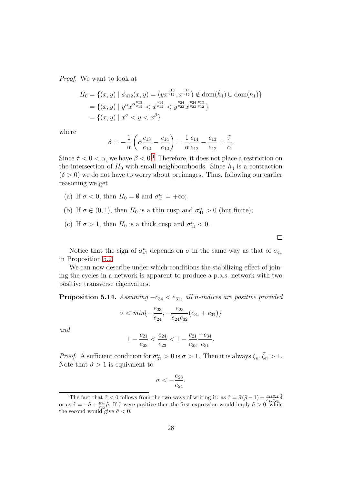Proof. We want to look at

$$
H_0 = \{(x, y) \mid \phi_{412}(x, y) = (yx^{\frac{c_{13}}{e_{12}}}, x^{\frac{c_{14}}{e_{12}}}) \notin \text{dom}(\tilde{h}_1) \cup \text{dom}(h_1)\}
$$
  
= 
$$
\{(x, y) \mid y^{\alpha} x^{\alpha \frac{c_{13}}{e_{12}}} < x^{\frac{c_{14}}{e_{12}}} < y^{\frac{c_{24}}{e_{23}} \frac{c_{24}}{e_{12}}} \}
$$
  
= 
$$
\{(x, y) \mid x^{\sigma} < y < x^{\beta}\}
$$

where

$$
\beta = -\frac{1}{\alpha} \left( \alpha \frac{c_{13}}{e_{12}} - \frac{c_{14}}{e_{12}} \right) = \frac{1}{\alpha} \frac{c_{14}}{e_{12}} - \frac{c_{13}}{e_{12}} = \frac{\tilde{\tau}}{\alpha}.
$$

Since  $\tilde{\tau} < 0 < \alpha$ , we have  $\beta < 0$ .<sup>[1](#page-27-0)</sup> Therefore, it does not place a restriction on the intersection of  $H_0$  with small neighbourhoods. Since  $h_4$  is a contraction  $(\delta > 0)$  we do not have to worry about preimages. Thus, following our earlier reasoning we get

- (a) If  $\sigma < 0$ , then  $H_0 = \emptyset$  and  $\sigma_{41}^n = +\infty$ ;
- (b) If  $\sigma \in (0,1)$ , then  $H_0$  is a thin cusp and  $\sigma_{41}^n > 0$  (but finite);
- (c) If  $\sigma > 1$ , then  $H_0$  is a thick cusp and  $\sigma_{41}^n < 0$ .

Notice that the sign of  $\sigma_{41}^n$  depends on  $\sigma$  in the same way as that of  $\sigma_{41}$ in Proposition [5.2.](#page-15-2)

We can now describe under which conditions the stabilizing effect of joining the cycles in a network is apparent to produce a p.a.s. network with two positive transverse eigenvalues.

**Proposition 5.14.** Assuming  $-c_{34} < e_{31}$ , all n-indices are positive provided

$$
\sigma < \min\{-\frac{e_{23}}{e_{24}}, -\frac{e_{23}}{e_{24}c_{32}}(e_{31} + c_{34})\}
$$

and

$$
1 - \frac{c_{21}}{e_{23}} < \frac{e_{24}}{e_{23}} < 1 - \frac{c_{21}}{e_{23}} \frac{-c_{34}}{e_{31}}.
$$

*Proof.* A sufficient condition for  $\tilde{\sigma}_{31}^n > 0$  is  $\tilde{\sigma} > 1$ . Then it is always  $\zeta_n, \bar{\zeta}_n > 1$ . Note that  $\tilde{\sigma} > 1$  is equivalent to

$$
\sigma<-\frac{e_{23}}{e_{24}}.
$$

 $\Box$ 

<span id="page-27-0"></span><sup>&</sup>lt;sup>1</sup>The fact that  $\tilde{\tau} < 0$  follows from the two ways of writing it: as  $\tilde{\tau} = \tilde{\sigma}(\tilde{\rho} - 1) + \frac{c_{13}c_{21}}{e_{12}e_{23}}\tilde{\delta}$ or as  $\tilde{\tau} = -\tilde{\sigma} + \frac{c_{34}}{c_{32}}\tilde{\rho}$ . If  $\tilde{\tau}$  were positive then the first expression would imply  $\tilde{\sigma} > 0$ , while the second would give  $\tilde{\sigma} < 0$ .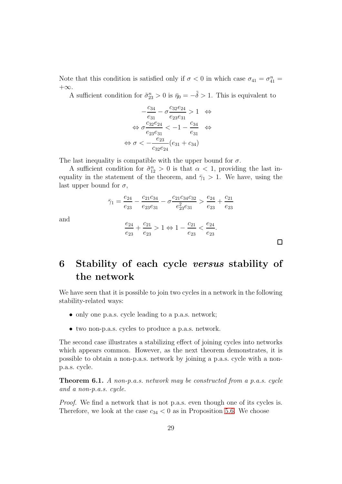Note that this condition is satisfied only if  $\sigma < 0$  in which case  $\sigma_{41} = \sigma_{41}^n =$  $+\infty$ .

A sufficient condition for  $\tilde{\sigma}_{23}^n > 0$  is  $\bar{\eta}_0 = -\tilde{\delta} > 1$ . This is equivalent to

$$
-\frac{c_{34}}{e_{31}} - \sigma \frac{c_{32}e_{24}}{e_{23}e_{31}} > 1 \Leftrightarrow
$$
  

$$
\Leftrightarrow \sigma \frac{c_{32}e_{24}}{e_{23}e_{31}} < -1 - \frac{c_{34}}{e_{31}} \Leftrightarrow
$$
  

$$
\Leftrightarrow \sigma < -\frac{e_{23}}{c_{32}e_{24}}(e_{31} + c_{34})
$$

The last inequality is compatible with the upper bound for  $\sigma$ .

and

A sufficient condition for  $\tilde{\sigma}_{12}^n > 0$  is that  $\alpha < 1$ , providing the last inequality in the statement of the theorem, and  $\bar{\gamma}_1 > 1$ . We have, using the last upper bound for  $\sigma$ ,

$$
\bar{\gamma}_1 = \frac{e_{24}}{e_{23}} - \frac{c_{21}c_{34}}{e_{23}e_{31}} - \sigma \frac{c_{21}c_{34}c_{32}}{e_{23}^2 e_{31}} > \frac{e_{24}}{e_{23}} + \frac{c_{21}}{e_{23}}
$$

$$
\frac{e_{24}}{e_{23}} + \frac{c_{21}}{e_{23}} > 1 \Leftrightarrow 1 - \frac{c_{21}}{e_{23}} < \frac{e_{24}}{e_{23}}.
$$

# <span id="page-28-0"></span>6 Stability of each cycle versus stability of the network

We have seen that it is possible to join two cycles in a network in the following stability-related ways:

- only one p.a.s. cycle leading to a p.a.s. network;
- two non-p.a.s. cycles to produce a p.a.s. network.

The second case illustrates a stabilizing effect of joining cycles into networks which appears common. However, as the next theorem demonstrates, it is possible to obtain a non-p.a.s. network by joining a p.a.s. cycle with a nonp.a.s. cycle.

**Theorem 6.1.** A non-p.a.s. network may be constructed from a p.a.s. cycle and a non-p.a.s. cycle.

Proof. We find a network that is not p.a.s. even though one of its cycles is. Therefore, we look at the case  $c_{34} < 0$  as in Proposition [5.6.](#page-19-2) We choose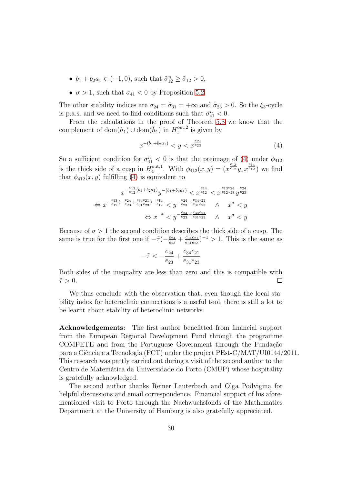- $b_1 + b_2 a_1 \in (-1, 0)$ , such that  $\tilde{\sigma}_{12}^n \ge \tilde{\sigma}_{12} > 0$ ,
- $\sigma > 1$ , such that  $\sigma_{41} < 0$  by Proposition [5.2.](#page-15-2)

The other stability indices are  $\sigma_{24} = \tilde{\sigma}_{31} = +\infty$  and  $\tilde{\sigma}_{23} > 0$ . So the  $\xi_3$ -cycle is p.a.s. and we need to find conditions such that  $\sigma_{41}^n < 0$ .

From the calculations in the proof of Theorem [5.8](#page-21-0) we know that the complement of  $dom(h_1) \cup dom(\tilde{h}_1)$  in  $H_1^{out,2}$  $i_1^{\text{out},2}$  is given by

<span id="page-29-0"></span>
$$
x^{-(b_1+b_2a_1)} < y < x^{\frac{e_{24}}{e_{23}}} \tag{4}
$$

So a sufficient condition for  $\sigma_{41}^n < 0$  is that the preimage of [\(4\)](#page-29-0) under  $\phi_{412}$ is the thick side of a cusp in  $H_4^{\text{out},1}$ <sup>out,1</sup>. With  $\phi_{412}(x, y) = (x^{\frac{c_{13}}{e_{12}}}y, x^{\frac{c_{14}}{e_{12}}})$  we find that  $\phi_{412}(x, y)$  fulfilling [\(4\)](#page-29-0) is equivalent to

$$
x^{-\frac{c_{13}}{e_{12}}(b_1+b_2a_1)}y^{-(b_1+b_2a_1)} < x^{\frac{c_{14}}{e_{12}}} < x^{\frac{c_{13}e_{24}}{e_{12}e_{23}}}y^{\frac{e_{24}}{e_{23}}}
$$
  
\n
$$
\Leftrightarrow x^{-\frac{c_{13}}{e_{12}}(-\frac{e_{24}}{e_{23}}+\frac{c_{34}e_{21}}{e_{31}e_{23}})-\frac{c_{14}}{e_{12}} < y^{-\frac{e_{24}}{e_{23}}+\frac{c_{34}e_{21}}{e_{31}e_{23}}} \wedge x^{\sigma} < y
$$
  
\n
$$
\Leftrightarrow x^{-\tilde{\tau}} < y^{-\frac{e_{24}}{e_{23}}+\frac{c_{34}e_{21}}{e_{31}e_{23}}} \wedge x^{\sigma} < y
$$

Because of  $\sigma > 1$  the second condition describes the thick side of a cusp. The same is true for the first one if  $-\tilde{\tau}(-\frac{e_{24}}{e_{22}})$  $\frac{e_{24}}{e_{23}} + \frac{c_{34}c_{21}}{e_{31}e_{23}}$  $\frac{c_{34}c_{21}}{c_{31}c_{23}}$  $^{-1}$  > 1. This is the same as

$$
-\tilde{\tau} < -\frac{e_{24}}{e_{23}} + \frac{c_{34}c_{21}}{e_{31}e_{23}}
$$

Both sides of the inequality are less than zero and this is compatible with  $\tilde{\tau} > 0.$  $\Box$ 

We thus conclude with the observation that, even though the local stability index for heteroclinic connections is a useful tool, there is still a lot to be learnt about stability of heteroclinic networks.

Acknowledgements: The first author benefitted from financial support from the European Regional Development Fund through the programme COMPETE and from the Portuguese Government through the Fundação para a Ciˆencia e a Tecnologia (FCT) under the project PEst-C/MAT/UI0144/2011. This research was partly carried out during a visit of the second author to the Centro de Matemática da Universidade do Porto (CMUP) whose hospitality is gratefully acknowledged.

The second author thanks Reiner Lauterbach and Olga Podvigina for helpful discussions and email correspondence. Financial support of his aforementioned visit to Porto through the Nachwuchsfonds of the Mathematics Department at the University of Hamburg is also gratefully appreciated.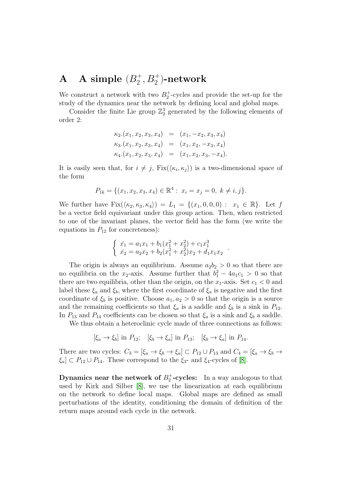#### ${\bf A}$  A simple  $(B_2^+)$  $_2^+,$   $B_2^+$ )-network

We construct a network with two  $B_2^+$ -cycles and provide the set-up for the study of the dynamics near the network by defining local and global maps.

Consider the finite Lie group  $\mathbb{Z}_2^3$  generated by the following elements of order 2:

$$
\kappa_2.(x_1, x_2, x_3, x_4) = (x_1, -x_2, x_3, x_4)
$$
  
\n
$$
\kappa_3.(x_1, x_2, x_3, x_4) = (x_1, x_2, -x_3, x_4)
$$
  
\n
$$
\kappa_4.(x_1, x_2, x_3, x_4) = (x_1, x_2, x_3, -x_4).
$$

It is easily seen that, for  $i \neq j$ ,  $Fix(\langle \kappa_i, \kappa_j \rangle)$  is a two-dimensional space of the form

$$
P_{1k} = \{ (x_1, x_2, x_3, x_4) \in \mathbb{R}^4 : x_i = x_j = 0, \ k \neq i, j \}.
$$

We further have  $Fix(\langle \kappa_2, \kappa_3, \kappa_4 \rangle) = L_1 = \{(x_1, 0, 0, 0) : x_1 \in \mathbb{R}\}.$  Let f be a vector field equivariant under this group action. Then, when restricted to one of the invariant planes, the vector field has the form (we write the equations in  $P_{12}$  for concreteness):

$$
\begin{cases}\n\dot{x_1} = a_1 x_1 + b_1 (x_1^2 + x_2^2) + c_1 x_1^3 \\
\dot{x_2} = a_2 x_2 + b_2 (x_1^2 + x_2^2) x_2 + d_1 x_1 x_2\n\end{cases}
$$

.

The origin is always an equilibrium. Assume  $a_2b_2 > 0$  so that there are no equilibria on the  $x_2$ -axis. Assume further that  $b_1^2 - 4a_1c_1 > 0$  so that there are two equilibria, other than the origin, on the  $x_1$ -axis. Set  $c_1 < 0$  and label these  $\xi_a$  and  $\xi_b$ , where the first coordinate of  $\xi_a$  is negative and the first coordinate of  $\xi_b$  is positive. Choose  $a_1, a_2 > 0$  so that the origin is a source and the remaining coefficients so that  $\xi_a$  is a saddle and  $\xi_b$  is a sink in  $P_{12}$ . In  $P_{13}$  and  $P_{14}$  coefficients can be chosen so that  $\xi_a$  is a sink and  $\xi_b$  a saddle.

We thus obtain a heteroclinic cycle made of three connections as follows:

$$
[\xi_a \to \xi_b]
$$
 in  $P_{12}$ ;  $[\xi_b \to \xi_a]$  in  $P_{13}$ ;  $[\xi_b \to \xi_a]$  in  $P_{14}$ .

There are two cycles:  $C_3 = [\xi_a \to \xi_b \to \xi_a] \subset P_{12} \cup P_{13}$  and  $C_4 = [\xi_a \to \xi_b \to \xi_b]$  $\xi_a \subset P_{12} \cup P_{14}$ . These correspond to the  $\xi_3$ - and  $\xi_4$ -cycles of [\[8\]](#page-36-6).

Dynamics near the network of  $B_2^+$ -cycles: In a way analogous to that used by Kirk and Silber [\[8\]](#page-36-6), we use the linearization at each equilibrium on the network to define local maps. Global maps are defined as small perturbations of the identity, conditioning the domain of definition of the return maps around each cycle in the network.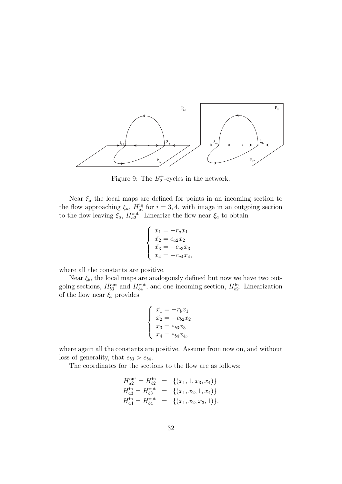

Figure 9: The  $B_2^+$ -cycles in the network.

Near  $\xi_a$  the local maps are defined for points in an incoming section to the flow approaching  $\xi_a$ ,  $H_{ai}^{in}$  for  $i = 3, 4$ , with image in an outgoing section to the flow leaving  $\xi_a$ ,  $H_{a2}^{\text{out}}$ . Linearize the flow near  $\xi_a$  to obtain

$$
\begin{cases}\n\dot{x}_1 = -r_a x_1 \\
\dot{x}_2 = e_{a2} x_2 \\
\dot{x}_3 = -c_{a3} x_3 \\
\dot{x}_4 = -c_{a4} x_4,\n\end{cases}
$$

where all the constants are positive.

Near  $\xi_b$ , the local maps are analogously defined but now we have two outgoing sections,  $H_{b3}^{\text{out}}$  and  $H_{b4}^{\text{out}}$ , and one incoming section,  $H_{b2}^{\text{in}}$ . Linearization of the flow near  $\xi_b$  provides

$$
\begin{cases}\n\dot{x_1} = -r_b x_1 \\
\dot{x_2} = -c_{b2} x_2 \\
\dot{x_3} = e_{b3} x_3 \\
\dot{x_4} = e_{b4} x_4,\n\end{cases}
$$

where again all the constants are positive. Assume from now on, and without loss of generality, that  $e_{b3} > e_{b4}$ .

The coordinates for the sections to the flow are as follows:

$$
H_{a2}^{\text{out}} = H_{b2}^{\text{in}} = \{ (x_1, 1, x_3, x_4) \}
$$
  
\n
$$
H_{a3}^{\text{in}} = H_{b3}^{\text{out}} = \{ (x_1, x_2, 1, x_4) \}
$$
  
\n
$$
H_{a4}^{\text{in}} = H_{b4}^{\text{out}} = \{ (x_1, x_2, x_3, 1) \}.
$$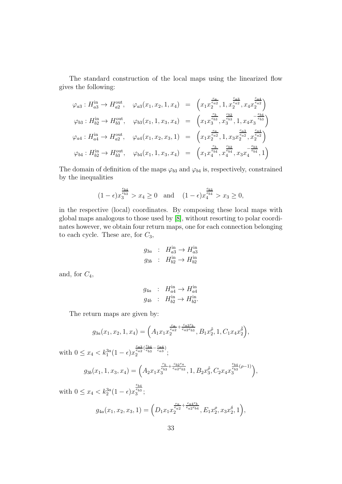The standard construction of the local maps using the linearized flow gives the following:

$$
\varphi_{a3}: H_{a3}^{\text{in}} \to H_{a2}^{\text{out}}, \quad \varphi_{a3}(x_1, x_2, 1, x_4) = \left(x_1 x_2^{\frac{r_a}{e_{a2}}}, 1, x_2^{\frac{c_{a3}}{e_{a2}}}, x_4 x_2^{\frac{c_{a4}}{e_{a2}}}\right)
$$
  

$$
\varphi_{b3}: H_{b2}^{\text{in}} \to H_{b3}^{\text{out}}, \quad \varphi_{b3}(x_1, 1, x_3, x_4) = \left(x_1 x_3^{\frac{r_b}{e_{33}}}, x_3^{\frac{c_{b2}}{e_{33}}}, 1, x_4 x_3^{\frac{c_{b4}}{e_{53}}}\right)
$$
  

$$
\varphi_{a4}: H_{a4}^{\text{in}} \to H_{a2}^{\text{out}}, \quad \varphi_{a4}(x_1, x_2, x_3, 1) = \left(x_1 x_2^{\frac{r_a}{e_{a2}}}, 1, x_3 x_2^{\frac{c_{a3}}{e_{a2}}}, x_2^{\frac{c_{a4}}{e_{a2}}}\right)
$$
  

$$
\varphi_{b4}: H_{b2}^{\text{in}} \to H_{b3}^{\text{out}}, \quad \varphi_{b4}(x_1, 1, x_3, x_4) = \left(x_1 x_4^{\frac{r_b}{e_{b4}}}, x_4^{\frac{c_{b2}}{e_{b4}}}, x_3 x_4^{\frac{c_{b3}}{e_{b4}}}, 1\right)
$$

The domain of definition of the maps  $\varphi_{b3}$  and  $\varphi_{b4}$  is, respectively, constrained by the inequalities

$$
(1 - \epsilon)x_3^{\frac{e_{b4}}{e_{b3}}} > x_4 \ge 0
$$
 and  $(1 - \epsilon)x_4^{\frac{e_{b3}}{e_{b4}}} > x_3 \ge 0$ ,

in the respective (local) coordinates. By composing these local maps with global maps analogous to those used by [\[8\]](#page-36-6), without resorting to polar coordinates however, we obtain four return maps, one for each connection belonging to each cycle. These are, for  $C_3$ ,

$$
g_{3a} : H_{a3}^{\text{in}} \to H_{a3}^{\text{in}}
$$

$$
g_{3b} : H_{b2}^{\text{in}} \to H_{b2}^{\text{in}}
$$

and, for  $C_4$ ,

$$
g_{4a} : H_{a4}^{\text{in}} \to H_{a4}^{\text{in}}
$$

$$
g_{4b} : H_{b2}^{\text{in}} \to H_{b2}^{\text{in}}.
$$

The return maps are given by:

$$
g_{3a}(x_1, x_2, 1, x_4) = \left(A_1 x_1 x_2^{\frac{r_a}{e_{a2}} + \frac{c_{a3}r_b}{e_{a2}e_{b3}}}, B_1 x_2^{\tilde{\rho}}, 1, C_1 x_4 x_2^{\tilde{\delta}}\right),
$$

with  $0 \le x_4 < k_1^{3a}(1 - \epsilon)x$  $\frac{c_{a3}}{e_{a2}}(\frac{e_{b4}}{e_{b3}} - \frac{c_{a4}}{c_{a3}})$  $\overset{e_{a2} \backsim e_{b3}}{2}, \overset{c_{a3}, \prime}{;}$ 

$$
g_{3b}(x_1, 1, x_3, x_4) = \left(A_2 x_1 x_3^{\frac{r_b}{e_{b3}} + \frac{c_{b2}r_a}{e_{a2}e_{b3}}}, 1, B_2 x_3^{\tilde{\rho}}, C_2 x_4 x_3^{\frac{e_{b4}}{e_{b3}}(\rho-1)}\right),
$$

with  $0 \le x_4 < k_2^{3a}(1 - \epsilon)x$  $\frac{e_{b4}}{e_{b3}}$  $\overset{e_{b3}}{3};$ 

$$
g_{4a}(x_1, x_2, x_3, 1) = \left(D_1 x_1 x_2^{\frac{r_a}{e_{a2}} + \frac{c_{a4}r_b}{e_{a2}e_{b4}}}, E_1 x_2^{\rho}, x_3 x_2^{\delta}, 1\right),
$$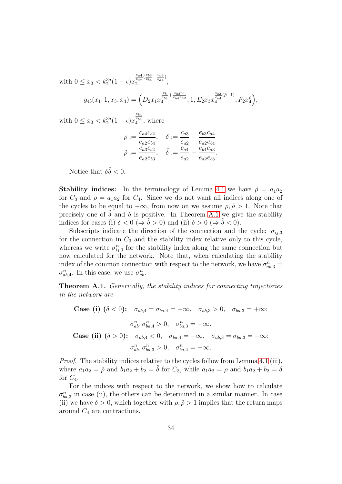with  $0 \le x_3 < k_2^{3a}(1 - \epsilon)x$  $\frac{c_{a4}}{e_{a2}}(\frac{e_{b3}}{e_{b4}}-\frac{c_{a3}}{c_{a4}})$  $\overset{e_{a2}\tiny e_{b4}}{2}$   $\overset{e_{a4}\tiny e_{a4}}{;}$  $g_{4b}(x_1,1,x_3,x_4)=\Bigl(D_2x_1x$  $\frac{r_b}{e_{b4}} + \frac{c_{b2}r_a}{e_{b4}e_{a2}}$  $_4^{e_{b4}-e_{b4}e_{a2}}, 1, E_2x_3x$  $\frac{e_{b3}}{e_{b4}}(\tilde{\rho}-1)$  $\frac{e_{b4}}{4}^{(\rho-1)}, F_2 x_4^{\rho}$ 

with  $0 \le x_3 < k_2^{3a}(1 - \epsilon)x$  $\frac{e_{b3}}{e_{b4}}$  $\frac{e_{b4}}{4}$ , where

$$
\rho := \frac{c_{a4}c_{b2}}{e_{a2}e_{b4}}, \quad \delta := \frac{c_{a3}}{e_{a2}} - \frac{e_{b3}c_{a4}}{e_{a2}e_{b4}}
$$

$$
\tilde{\rho} := \frac{c_{a3}c_{b2}}{e_{a2}e_{b3}}, \quad \tilde{\delta} := \frac{c_{a4}}{e_{a2}} - \frac{e_{b4}c_{a3}}{e_{a2}e_{b3}}
$$

 $_{4}^{\rho}\Big),$ 

.

Notice that  $\delta \tilde{\delta} < 0$ .

**Stability indices:** In the terminology of Lemma [4.1](#page-10-2) we have  $\tilde{\rho} = a_1 a_2$ for  $C_3$  and  $\rho = a_1 a_2$  for  $C_4$ . Since we do not want all indices along one of the cycles to be equal to  $-\infty$ , from now on we assume  $\rho, \tilde{\rho} > 1$ . Note that precisely one of  $\delta$  and  $\delta$  is positive. In Theorem [A.1](#page-33-0) we give the stability indices for cases (i)  $\delta < 0 \; (\Rightarrow \tilde{\delta} > 0)$  and (ii)  $\delta > 0 \; (\Rightarrow \tilde{\delta} < 0)$ .

Subscripts indicate the direction of the connection and the cycle:  $\sigma_{ii,3}$ for the connection in  $C_3$  and the stability index relative only to this cycle, whereas we write  $\sigma_{ij,3}^n$  for the stability index along the same connection but now calculated for the network. Note that, when calculating the stability index of the common connection with respect to the network, we have  $\sigma_{ab,3}^n =$  $\sigma_{ab,4}^n$ . In this case, we use  $\sigma_{ab}^n$ .

<span id="page-33-0"></span>**Theorem A.1.** Generically, the stability indices for connecting trajectories in the network are

Case (i)  $(\delta < 0)$ :  $\sigma_{ab,4} = \sigma_{ba,4} = -\infty$ ,  $\sigma_{ab,3} > 0$ ,  $\sigma_{ba,3} = +\infty$ ;  $\sigma_{ab}^n, \sigma_{ba,4}^n > 0, \quad \sigma_{ba,3}^n = +\infty.$ Case (ii)  $(\delta > 0)$ :  $\sigma_{ab,4} < 0$ ,  $\sigma_{ba,4} = +\infty$ ,  $\sigma_{ab,3} = \sigma_{ba,3} = -\infty$ ;  $\sigma_{ab}^n, \sigma_{ba,3}^n > 0, \quad \sigma_{ba,4}^n = +\infty.$ 

Proof. The stability indices relative to the cycles follow from Lemma [4.1](#page-10-2) (iii), where  $a_1a_2 = \tilde{\rho}$  and  $b_1a_2 + b_2 = \tilde{\delta}$  for  $C_3$ , while  $a_1a_2 = \rho$  and  $b_1a_2 + b_2 = \delta$ for  $C_4$ .

For the indices with respect to the network, we show how to calculate  $\sigma_{ba,3}^n$  in case (ii), the others can be determined in a similar manner. In case (ii) we have  $\delta > 0$ , which together with  $\rho, \tilde{\rho} > 1$  implies that the return maps around  $C_4$  are contractions.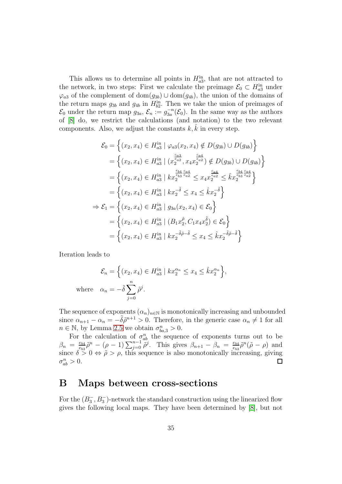This allows us to determine all points in  $H_{a3}^{\text{in}}$ , that are not attracted to the network, in two steps: First we calculate the preimage  $\mathcal{E}_0 \subset H_{a3}^{\text{in}}$  under  $\varphi_{a3}$  of the complement of dom $(g_{3b}) \cup$  dom $(g_{4b})$ , the union of the domains of the return maps  $g_{3b}$  and  $g_{4b}$  in  $H_{b2}^{in}$ . Then we take the union of preimages of  $\mathcal{E}_0$  under the return map  $g_{3a}, \mathcal{E}_n := g_{3a}^{-n}(\mathcal{E}_0)$ . In the same way as the authors of [\[8\]](#page-36-6) do, we restrict the calculations (and notation) to the two relevant components. Also, we adjust the constants  $k, \hat{k}$  in every step.

$$
\mathcal{E}_{0} = \left\{ (x_{2}, x_{4}) \in H_{a3}^{\text{in}} \mid \varphi_{a3}(x_{2}, x_{4}) \notin D(g_{3b}) \cup D(g_{4b}) \right\}
$$
\n
$$
= \left\{ (x_{2}, x_{4}) \in H_{a3}^{\text{in}} \mid (x_{2}^{\frac{c_{a3}}{e_{a2}}}, x_{4}x_{2}^{\frac{c_{a4}}{e_{a2}}}) \notin D(g_{3b}) \cup D(g_{4b}) \right\}
$$
\n
$$
= \left\{ (x_{2}, x_{4}) \in H_{a3}^{\text{in}} \mid kx_{2}^{\frac{e_{b4}}{e_{b3}} \frac{c_{a4}}{e_{a2}} \leq x_{4}x_{2}^{\frac{c_{a4}}{e_{a2}} \leq kx_{2}^{\frac{e_{b4}}{e_{b3}} \frac{c_{a4}}{e_{a2}} \right\}
$$
\n
$$
= \left\{ (x_{2}, x_{4}) \in H_{a3}^{\text{in}} \mid kx_{2}^{-\delta} \leq x_{4} \leq kx_{2}^{-\delta} \right\}
$$
\n
$$
\Rightarrow \mathcal{E}_{1} = \left\{ (x_{2}, x_{4}) \in H_{a3}^{\text{in}} \mid g_{3a}(x_{2}, x_{4}) \in \mathcal{E}_{0} \right\}
$$
\n
$$
= \left\{ (x_{2}, x_{4}) \in H_{a3}^{\text{in}} \mid (B_{1}x_{2}^{\tilde{\rho}}, C_{1}x_{4}x_{2}^{\tilde{\delta}}) \in \mathcal{E}_{0} \right\}
$$
\n
$$
= \left\{ (x_{2}, x_{4}) \in H_{a3}^{\text{in}} \mid kx_{2}^{-\tilde{\delta}\tilde{\rho}-\tilde{\delta}} \leq x_{4} \leq kx_{2}^{-\tilde{\delta}\tilde{\rho}-\tilde{\delta}} \right\}
$$

Iteration leads to

$$
\mathcal{E}_n = \left\{ (x_2, x_4) \in H_{a3}^{\text{in}} \mid kx_2^{\alpha_n} \le x_4 \le \hat{k}x_2^{\alpha_n} \right\},\
$$
  
where  $\alpha_n = -\tilde{\delta} \sum_{j=0}^n \tilde{\rho}^j$ .

The sequence of exponents  $(\alpha_n)_{n\in\mathbb{N}}$  is monotonically increasing and unbounded since  $\alpha_{n+1} - \alpha_n = -\tilde{\delta}\tilde{\rho}^{n+1} > 0$ . Therefore, in the generic case  $\alpha_n \neq 1$  for all  $n \in \mathbb{N}$ , by Lemma [2.5](#page-5-1) we obtain  $\sigma_{ba,3}^n > 0$ .

For the calculation of  $\sigma_{ab}^n$  the sequence of exponents turns out to be  $\frac{e_{b4}}{e_{b3}}\tilde{\rho}^n - (\rho - 1) \sum_{j=0}^{n-1} \tilde{\rho}^j$ . This gives  $\beta_{n+1} - \beta_n = \frac{e_{b4}}{e_{b3}}$  $\beta_n = \frac{e_{b4}}{e_{b2}}$  $\frac{e_{b4}}{e_{b3}} \tilde{\rho}^n (\tilde{\rho} - \rho)$  and since  $\delta > 0 \Leftrightarrow \tilde{\rho} > \rho$ , this sequence is also monotonically increasing, giving  $\sigma_{ab}^n > 0.$  $\Box$ 

### B Maps between cross-sections

For the  $(B_3^-)$  $\overline{3}$ ,  $\overline{B_3}$ )-network the standard construction using the linearized flow gives the following local maps. They have been determined by [\[8\]](#page-36-6), but not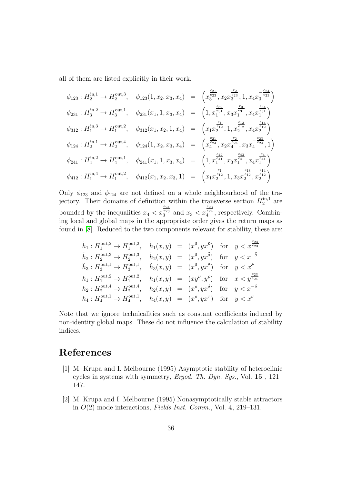all of them are listed explicitly in their work.

$$
\phi_{123}: H_2^{\text{in},1} \to H_2^{\text{out},3}, \quad \phi_{123}(1, x_2, x_3, x_4) = \left(x_3^{\frac{c_{21}}{e_{23}}}, x_2 x_3^{\frac{r_2}{e_{23}}}, 1, x_4 x_3^{\frac{-e_{24}}{e_{23}}}\right)
$$
  
\n
$$
\phi_{231}: H_3^{\text{in},2} \to H_3^{\text{out},1}, \quad \phi_{231}(x_1, 1, x_3, x_4) = \left(1, x_1^{\frac{c_{32}}{e_{31}}}, x_3 x_1^{\frac{e_{31}}{e_{31}}}, x_4 x_1^{\frac{e_{34}}{e_{31}}}\right)
$$
  
\n
$$
\phi_{312}: H_1^{\text{in},3} \to H_1^{\text{out},2}, \quad \phi_{312}(x_1, x_2, 1, x_4) = \left(x_1 x_2^{\frac{c_{12}}{e_{12}}}, 1, x_2^{\frac{e_{13}}{e_{12}}}, x_4 x_2^{\frac{e_{14}}{e_{12}}}\right)
$$
  
\n
$$
\phi_{124}: H_2^{\text{in},1} \to H_2^{\text{out},4}, \quad \phi_{124}(1, x_2, x_3, x_4) = \left(x_4^{\frac{c_{21}}{e_{24}}}, x_2 x_4^{\frac{c_{24}}{e_{24}}}, x_3 x_4^{\frac{-e_{23}}{e_{24}}}, 1\right)
$$
  
\n
$$
\phi_{241}: H_4^{\text{in},2} \to H_4^{\text{out},1}, \quad \phi_{241}(x_1, 1, x_3, x_4) = \left(1, x_1^{\frac{c_{42}}{e_{41}}}, x_3 x_1^{\frac{e_{43}}{e_{41}}}, x_4 x_1^{\frac{e_{41}}{e_{41}}}\right)
$$
  
\n
$$
\phi_{412}: H_1^{\text{in},4} \to H_1^{\text{out},2}, \quad \phi_{412}(x_1, x_2, x_3, 1) = \left(x_1 x_2^{\frac{e_{12}}{e_{12}}}, 1, x
$$

Only  $\phi_{123}$  and  $\phi_{124}$  are not defined on a whole neighbourhood of the trajectory. Their domains of definition within the transverse section  $H_2^{\text{in},1}$  are bounded by the inequalities  $x_4 < x$  $\frac{e_{24}}{e_{23}}$  $_{3}^{e_{23}}$  and  $x_{3} < x$  $\frac{e_{23}}{e_{24}}$  $i_4^{e_{24}}$ , respectively. Combining local and global maps in the appropriate order gives the return maps as found in [\[8\]](#page-36-6). Reduced to the two components relevant for stability, these are:

$$
\tilde{h}_1: H_1^{\text{out},2} \to H_1^{\text{out},2}, \quad \tilde{h}_1(x,y) = (x^{\tilde{\rho}}, yx^{\tilde{\nu}}) \quad \text{for} \quad y < x^{\frac{e_{24}}{e_{23}}},
$$
\n
$$
\tilde{h}_2: H_2^{\text{out},3} \to H_2^{\text{out},3}, \quad \tilde{h}_2(x,y) = (x^{\tilde{\rho}}, yx^{\tilde{\delta}}) \quad \text{for} \quad y < x^{-\tilde{\delta}},
$$
\n
$$
\tilde{h}_3: H_3^{\text{out},1} \to H_3^{\text{out},1}, \quad \tilde{h}_3(x,y) = (x^{\tilde{\rho}}, yx^{\tilde{\tau}}) \quad \text{for} \quad y < x^{\tilde{\sigma}},
$$
\n
$$
h_1: H_1^{\text{out},2} \to H_1^{\text{out},2}, \quad h_1(x,y) = (xy^{\nu}, y^{\rho}) \quad \text{for} \quad x < y^{\frac{e_{23}}{e_{24}}},
$$
\n
$$
h_2: H_2^{\text{out},4} \to H_2^{\text{out},4}, \quad h_2(x,y) = (x^{\rho}, yx^{\delta}) \quad \text{for} \quad y < x^{-\delta},
$$
\n
$$
h_4: H_4^{\text{out},1} \to H_4^{\text{out},1}, \quad h_4(x,y) = (x^{\rho}, yx^{\tau}) \quad \text{for} \quad y < x^{\sigma}
$$

Note that we ignore technicalities such as constant coefficients induced by non-identity global maps. These do not influence the calculation of stability indices.

# <span id="page-35-0"></span>References

- [1] M. Krupa and I. Melbourne (1995) Asymptotic stability of heteroclinic cycles in systems with symmetry, Ergod. Th. Dyn. Sys., Vol. 15, 121– 147.
- <span id="page-35-1"></span>[2] M. Krupa and I. Melbourne (1995) Nonasymptotically stable attractors in  $O(2)$  mode interactions, Fields Inst. Comm., Vol. 4, 219–131.